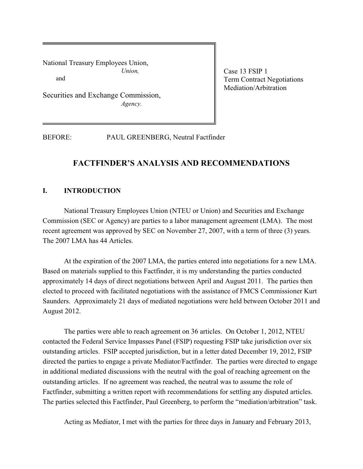National Treasury Employees Union, *Union,*  and

Securities and Exchange Commission, *Agency.*

Case 13 FSIP 1 Term Contract Negotiations Mediation/Arbitration

BEFORE: PAUL GREENBERG, Neutral Factfinder

# **FACTFINDER'S ANALYSIS AND RECOMMENDATIONS**

# **I. INTRODUCTION**

National Treasury Employees Union (NTEU or Union) and Securities and Exchange Commission (SEC or Agency) are parties to a labor management agreement (LMA). The most recent agreement was approved by SEC on November 27, 2007, with a term of three (3) years. The 2007 LMA has 44 Articles.

At the expiration of the 2007 LMA, the parties entered into negotiations for a new LMA. Based on materials supplied to this Factfinder, it is my understanding the parties conducted approximately 14 days of direct negotiations between April and August 2011. The parties then elected to proceed with facilitated negotiations with the assistance of FMCS Commissioner Kurt Saunders. Approximately 21 days of mediated negotiations were held between October 2011 and August 2012.

The parties were able to reach agreement on 36 articles. On October 1, 2012, NTEU contacted the Federal Service Impasses Panel (FSIP) requesting FSIP take jurisdiction over six outstanding articles. FSIP accepted jurisdiction, but in a letter dated December 19, 2012, FSIP directed the parties to engage a private Mediator/Factfinder. The parties were directed to engage in additional mediated discussions with the neutral with the goal of reaching agreement on the outstanding articles. If no agreement was reached, the neutral was to assume the role of Factfinder, submitting a written report with recommendations for settling any disputed articles. The parties selected this Factfinder, Paul Greenberg, to perform the "mediation/arbitration" task.

Acting as Mediator, I met with the parties for three days in January and February 2013,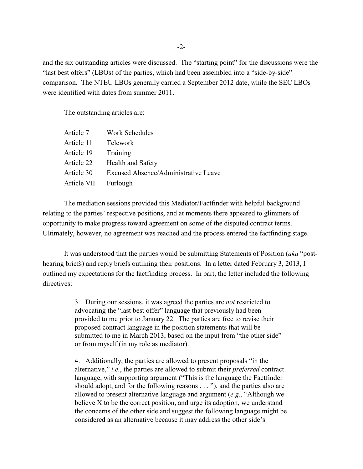and the six outstanding articles were discussed. The "starting point" for the discussions were the "last best offers" (LBOs) of the parties, which had been assembled into a "side-by-side" comparison. The NTEU LBOs generally carried a September 2012 date, while the SEC LBOs were identified with dates from summer 2011.

The outstanding articles are:

| Article 7   | Work Schedules                       |
|-------------|--------------------------------------|
| Article 11  | <b>Telework</b>                      |
| Article 19  | Training                             |
| Article 22  | <b>Health and Safety</b>             |
| Article 30  | Excused Absence/Administrative Leave |
| Article VII | Furlough                             |

The mediation sessions provided this Mediator/Factfinder with helpful background relating to the parties' respective positions, and at moments there appeared to glimmers of opportunity to make progress toward agreement on some of the disputed contract terms. Ultimately, however, no agreement was reached and the process entered the factfinding stage.

It was understood that the parties would be submitting Statements of Position (*aka* "posthearing briefs) and reply briefs outlining their positions. In a letter dated February 3, 2013, I outlined my expectations for the factfinding process. In part, the letter included the following directives:

> 3. During our sessions, it was agreed the parties are *not* restricted to advocating the "last best offer" language that previously had been provided to me prior to January 22. The parties are free to revise their proposed contract language in the position statements that will be submitted to me in March 2013, based on the input from "the other side" or from myself (in my role as mediator).

4. Additionally, the parties are allowed to present proposals "in the alternative," *i.e.*, the parties are allowed to submit their *preferred* contract language, with supporting argument ("This is the language the Factfinder should adopt, and for the following reasons . . . "), and the parties also are allowed to present alternative language and argument (*e.g.*, "Although we believe X to be the correct position, and urge its adoption, we understand the concerns of the other side and suggest the following language might be considered as an alternative because it may address the other side's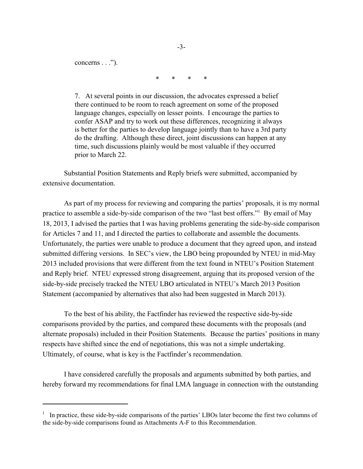concerns  $\dots$ ").

\* \* \* \*

7. At several points in our discussion, the advocates expressed a belief there continued to be room to reach agreement on some of the proposed language changes, especially on lesser points. I encourage the parties to confer ASAP and try to work out these differences, recognizing it always is better for the parties to develop language jointly than to have a 3rd party do the drafting. Although these direct, joint discussions can happen at any time, such discussions plainly would be most valuable if they occurred prior to March 22.

Substantial Position Statements and Reply briefs were submitted, accompanied by extensive documentation.

As part of my process for reviewing and comparing the parties' proposals, it is my normal practice to assemble a side-by-side comparison of the two "last best offers." By email of May 18, 2013, I advised the parties that I was having problems generating the side-by-side comparison for Articles 7 and 11, and I directed the parties to collaborate and assemble the documents. Unfortunately, the parties were unable to produce a document that they agreed upon, and instead submitted differing versions. In SEC's view, the LBO being propounded by NTEU in mid-May 2013 included provisions that were different from the text found in NTEU's Position Statement and Reply brief. NTEU expressed strong disagreement, arguing that its proposed version of the side-by-side precisely tracked the NTEU LBO articulated in NTEU's March 2013 Position Statement (accompanied by alternatives that also had been suggested in March 2013).

To the best of his ability, the Factfinder has reviewed the respective side-by-side comparisons provided by the parties, and compared these documents with the proposals (and alternate proposals) included in their Position Statements. Because the parties' positions in many respects have shifted since the end of negotiations, this was not a simple undertaking. Ultimately, of course, what is key is the Factfinder's recommendation.

I have considered carefully the proposals and arguments submitted by both parties, and hereby forward my recommendations for final LMA language in connection with the outstanding

<sup>&</sup>lt;sup>1</sup> In practice, these side-by-side comparisons of the parties' LBOs later become the first two columns of the side-by-side comparisons found as Attachments A-F to this Recommendation.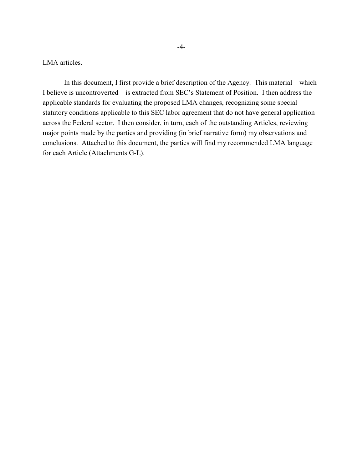LMA articles.

In this document, I first provide a brief description of the Agency. This material – which I believe is uncontroverted – is extracted from SEC's Statement of Position. I then address the applicable standards for evaluating the proposed LMA changes, recognizing some special statutory conditions applicable to this SEC labor agreement that do not have general application across the Federal sector. I then consider, in turn, each of the outstanding Articles, reviewing major points made by the parties and providing (in brief narrative form) my observations and conclusions. Attached to this document, the parties will find my recommended LMA language for each Article (Attachments G-L).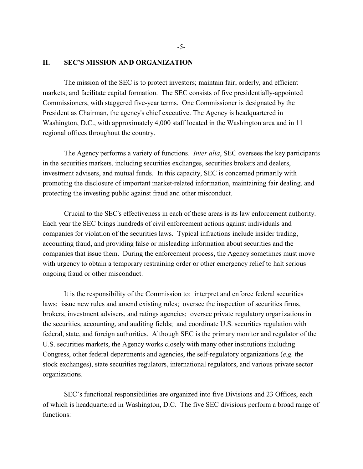# **II. SEC'S MISSION AND ORGANIZATION**

The mission of the SEC is to protect investors; maintain fair, orderly, and efficient markets; and facilitate capital formation.The SEC consists of five presidentially-appointed Commissioners, with staggered five-year terms. One Commissioner is designated by the President as Chairman, the agency's chief executive. The Agency is headquartered in Washington, D.C., with approximately 4,000 staff located in the Washington area and in 11 regional offices throughout the country.

The Agency performs a variety of functions. *Inter alia*, SEC oversees the key participants in the securities markets, including securities exchanges, securities brokers and dealers, investment advisers, and mutual funds. In this capacity, SEC is concerned primarily with promoting the disclosure of important market-related information, maintaining fair dealing, and protecting the investing public against fraud and other misconduct.

Crucial to the SEC's effectiveness in each of these areas is its law enforcement authority. Each year the SEC brings hundreds of civil enforcement actions against individuals and companies for violation of the securities laws. Typical infractions include insider trading, accounting fraud, and providing false or misleading information about securities and the companies that issue them. During the enforcement process, the Agency sometimes must move with urgency to obtain a temporary restraining order or other emergency relief to halt serious ongoing fraud or other misconduct.

It is the responsibility of the Commission to: interpret and enforce federal securities laws; issue new rules and amend existing rules; oversee the inspection of securities firms, brokers, investment advisers, and ratings agencies; oversee private regulatory organizations in the securities, accounting, and auditing fields; and coordinate U.S. securities regulation with federal, state, and foreign authorities. Although SEC is the primary monitor and regulator of the U.S. securities markets, the Agency works closely with many other institutions including Congress, other federal departments and agencies, the self-regulatory organizations (*e.g.* the stock exchanges), state securities regulators, international regulators, and various private sector organizations.

SEC's functional responsibilities are organized into five Divisions and 23 Offices, each of which is headquartered in Washington, D.C. The five SEC divisions perform a broad range of functions: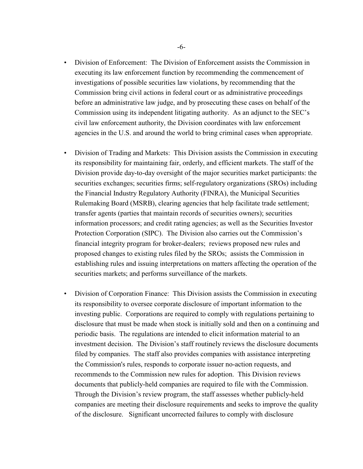- Division of Enforcement: The Division of Enforcement assists the Commission in executing its law enforcement function by recommending the commencement of investigations of possible securities law violations, by recommending that the Commission bring civil actions in federal court or as administrative proceedings before an administrative law judge, and by prosecuting these cases on behalf of the Commission using its independent litigating authority. As an adjunct to the SEC's civil law enforcement authority, the Division coordinates with law enforcement agencies in the U.S. and around the world to bring criminal cases when appropriate.
- Division of Trading and Markets: This Division assists the Commission in executing its responsibility for maintaining fair, orderly, and efficient markets. The staff of the Division provide day-to-day oversight of the major securities market participants: the securities exchanges; securities firms; self-regulatory organizations (SROs) including the Financial Industry Regulatory Authority (FINRA), the Municipal Securities Rulemaking Board (MSRB), clearing agencies that help facilitate trade settlement; transfer agents (parties that maintain records of securities owners); securities information processors; and credit rating agencies; as well as the Securities Investor Protection Corporation (SIPC). The Division also carries out the Commission's financial integrity program for broker-dealers; reviews proposed new rules and proposed changes to existing rules filed by the SROs; assists the Commission in establishing rules and issuing interpretations on matters affecting the operation of the securities markets; and performs surveillance of the markets.
- Division of Corporation Finance: This Division assists the Commission in executing its responsibility to oversee corporate disclosure of important information to the investing public. Corporations are required to comply with regulations pertaining to disclosure that must be made when stock is initially sold and then on a continuing and periodic basis. The regulations are intended to elicit information material to an investment decision. The Division's staff routinely reviews the disclosure documents filed by companies. The staff also provides companies with assistance interpreting the Commission's rules, responds to corporate issuer no-action requests, and recommends to the Commission new rules for adoption. This Division reviews documents that publicly-held companies are required to file with the Commission. Through the Division's review program, the staff assesses whether publicly-held companies are meeting their disclosure requirements and seeks to improve the quality of the disclosure. Significant uncorrected failures to comply with disclosure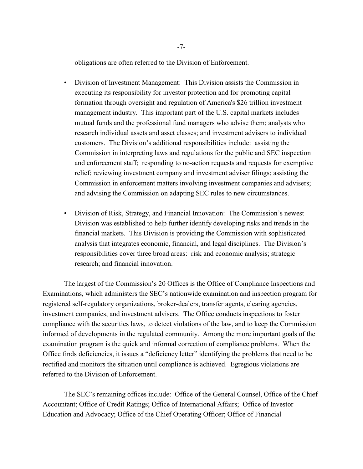obligations are often referred to the Division of Enforcement.

- Division of Investment Management: This Division assists the Commission in executing its responsibility for investor protection and for promoting capital formation through oversight and regulation of America's \$26 trillion investment management industry. This important part of the U.S. capital markets includes mutual funds and the professional fund managers who advise them; analysts who research individual assets and asset classes; and investment advisers to individual customers. The Division's additional responsibilities include: assisting the Commission in interpreting laws and regulations for the public and SEC inspection and enforcement staff; responding to no-action requests and requests for exemptive relief; reviewing investment company and investment adviser filings; assisting the Commission in enforcement matters involving investment companies and advisers; and advising the Commission on adapting SEC rules to new circumstances.
- Division of Risk, Strategy, and Financial Innovation: The Commission's newest Division was established to help further identify developing risks and trends in the financial markets. This Division is providing the Commission with sophisticated analysis that integrates economic, financial, and legal disciplines. The Division's responsibilities cover three broad areas: risk and economic analysis; strategic research; and financial innovation.

The largest of the Commission's 20 Offices is the Office of Compliance Inspections and Examinations, which administers the SEC's nationwide examination and inspection program for registered self-regulatory organizations, broker-dealers, transfer agents, clearing agencies, investment companies, and investment advisers. The Office conducts inspections to foster compliance with the securities laws, to detect violations of the law, and to keep the Commission informed of developments in the regulated community. Among the more important goals of the examination program is the quick and informal correction of compliance problems. When the Office finds deficiencies, it issues a "deficiency letter" identifying the problems that need to be rectified and monitors the situation until compliance is achieved. Egregious violations are referred to the Division of Enforcement.

The SEC's remaining offices include: Office of the General Counsel, Office of the Chief Accountant; Office of Credit Ratings; Office of International Affairs; Office of Investor Education and Advocacy; Office of the Chief Operating Officer; Office of Financial

-7-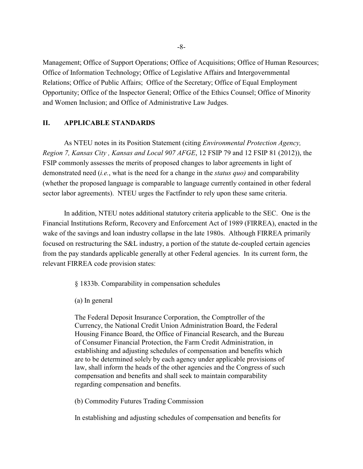Management; Office of Support Operations; Office of Acquisitions; Office of Human Resources; Office of Information Technology; Office of Legislative Affairs and Intergovernmental Relations; Office of Public Affairs; Office of the Secretary; Office of Equal Employment Opportunity; Office of the Inspector General; Office of the Ethics Counsel; Office of Minority and Women Inclusion; and Office of Administrative Law Judges.

# **II. APPLICABLE STANDARDS**

As NTEU notes in its Position Statement (citing *Environmental Protection Agency, Region 7, Kansas City , Kansas and Local 907 AFGE*, 12 FSIP 79 and 12 FSIP 81 (2012)), the FSIP commonly assesses the merits of proposed changes to labor agreements in light of demonstrated need (*i.e.*, what is the need for a change in the *status quo)* and comparability (whether the proposed language is comparable to language currently contained in other federal sector labor agreements). NTEU urges the Factfinder to rely upon these same criteria.

In addition, NTEU notes additional statutory criteria applicable to the SEC. One is the Financial Institutions Reform, Recovery and Enforcement Act of 1989 (FIRREA), enacted in the wake of the savings and loan industry collapse in the late 1980s. Although FIRREA primarily focused on restructuring the S&L industry, a portion of the statute de-coupled certain agencies from the pay standards applicable generally at other Federal agencies. In its current form, the relevant FIRREA code provision states:

§ 1833b. Comparability in compensation schedules

(a) In general

The Federal Deposit Insurance Corporation, the Comptroller of the Currency, the National Credit Union Administration Board, the Federal Housing Finance Board, the Office of Financial Research, and the Bureau of Consumer Financial Protection, the Farm Credit Administration, in establishing and adjusting schedules of compensation and benefits which are to be determined solely by each agency under applicable provisions of law, shall inform the heads of the other agencies and the Congress of such compensation and benefits and shall seek to maintain comparability regarding compensation and benefits.

(b) Commodity Futures Trading Commission

In establishing and adjusting schedules of compensation and benefits for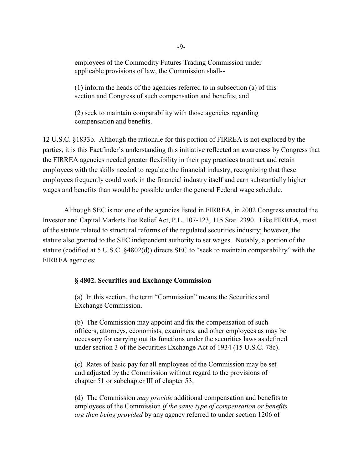employees of the Commodity Futures Trading Commission under applicable provisions of law, the Commission shall--

(1) inform the heads of the agencies referred to in subsection (a) of this section and Congress of such compensation and benefits; and

(2) seek to maintain comparability with those agencies regarding compensation and benefits.

12 U.S.C. §1833b. Although the rationale for this portion of FIRREA is not explored by the parties, it is this Factfinder's understanding this initiative reflected an awareness by Congress that the FIRREA agencies needed greater flexibility in their pay practices to attract and retain employees with the skills needed to regulate the financial industry, recognizing that these employees frequently could work in the financial industry itself and earn substantially higher wages and benefits than would be possible under the general Federal wage schedule.

Although SEC is not one of the agencies listed in FIRREA, in 2002 Congress enacted the Investor and Capital Markets Fee Relief Act, P.L. 107-123, 115 Stat. 2390. Like FIRREA, most of the statute related to structural reforms of the regulated securities industry; however, the statute also granted to the SEC independent authority to set wages. Notably, a portion of the statute (codified at 5 U.S.C. §4802(d)) directs SEC to "seek to maintain comparability" with the FIRREA agencies:

# **§ 4802. Securities and Exchange Commission**

(a) In this section, the term "Commission" means the Securities and Exchange Commission.

(b) The Commission may appoint and fix the compensation of such officers, attorneys, economists, examiners, and other employees as may be necessary for carrying out its functions under the securities laws as defined under section 3 of the Securities Exchange Act of 1934 (15 U.S.C. 78c).

(c) Rates of basic pay for all employees of the Commission may be set and adjusted by the Commission without regard to the provisions of chapter 51 or subchapter III of chapter 53.

(d) The Commission *may provide* additional compensation and benefits to employees of the Commission *if the same type of compensation or benefits are then being provided* by any agency referred to under section 1206 of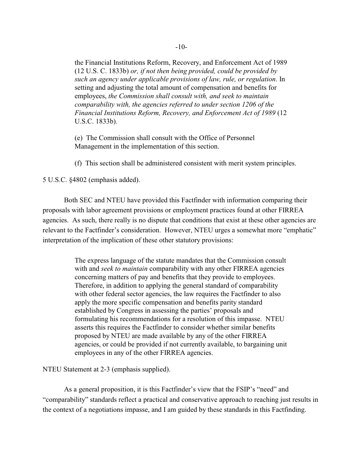the Financial Institutions Reform, Recovery, and Enforcement Act of 1989 (12 U.S. C. 1833b) *or, if not then being provided, could be provided by such an agency under applicable provisions of law, rule, or regulation*. In setting and adjusting the total amount of compensation and benefits for employees, *the Commission shall consult with, and seek to maintain comparability with, the agencies referred to under section 1206 of the Financial Institutions Reform, Recovery, and Enforcement Act of 1989* (12 U.S.C. 1833b).

(e) The Commission shall consult with the Office of Personnel Management in the implementation of this section.

(f) This section shall be administered consistent with merit system principles.

5 U.S.C. §4802 (emphasis added).

Both SEC and NTEU have provided this Factfinder with information comparing their proposals with labor agreement provisions or employment practices found at other FIRREA agencies. As such, there really is no dispute that conditions that exist at these other agencies are relevant to the Factfinder's consideration. However, NTEU urges a somewhat more "emphatic" interpretation of the implication of these other statutory provisions:

> The express language of the statute mandates that the Commission consult with and *seek to maintain* comparability with any other FIRREA agencies concerning matters of pay and benefits that they provide to employees. Therefore, in addition to applying the general standard of comparability with other federal sector agencies, the law requires the Factfinder to also apply the more specific compensation and benefits parity standard established by Congress in assessing the parties' proposals and formulating his recommendations for a resolution of this impasse. NTEU asserts this requires the Factfinder to consider whether similar benefits proposed by NTEU are made available by any of the other FIRREA agencies, or could be provided if not currently available, to bargaining unit employees in any of the other FIRREA agencies.

NTEU Statement at 2-3 (emphasis supplied).

As a general proposition, it is this Factfinder's view that the FSIP's "need" and "comparability" standards reflect a practical and conservative approach to reaching just results in the context of a negotiations impasse, and I am guided by these standards in this Factfinding.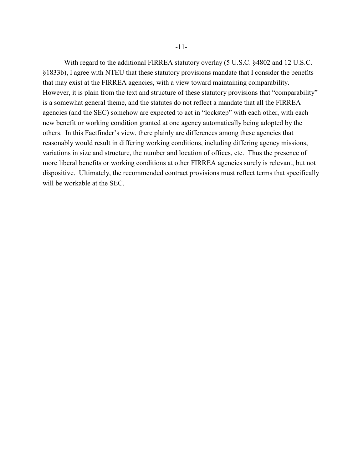With regard to the additional FIRREA statutory overlay (5 U.S.C. §4802 and 12 U.S.C. §1833b), I agree with NTEU that these statutory provisions mandate that I consider the benefits that may exist at the FIRREA agencies, with a view toward maintaining comparability. However, it is plain from the text and structure of these statutory provisions that "comparability" is a somewhat general theme, and the statutes do not reflect a mandate that all the FIRREA agencies (and the SEC) somehow are expected to act in "lockstep" with each other, with each new benefit or working condition granted at one agency automatically being adopted by the others. In this Factfinder's view, there plainly are differences among these agencies that reasonably would result in differing working conditions, including differing agency missions, variations in size and structure, the number and location of offices, etc. Thus the presence of more liberal benefits or working conditions at other FIRREA agencies surely is relevant, but not dispositive. Ultimately, the recommended contract provisions must reflect terms that specifically will be workable at the SEC.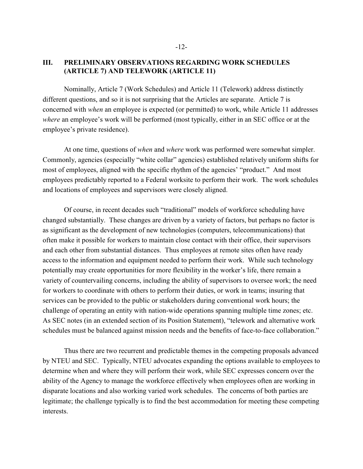# **III. PRELIMINARY OBSERVATIONS REGARDING WORK SCHEDULES (ARTICLE 7) AND TELEWORK (ARTICLE 11)**

Nominally, Article 7 (Work Schedules) and Article 11 (Telework) address distinctly different questions, and so it is not surprising that the Articles are separate. Article 7 is concerned with *when* an employee is expected (or permitted) to work, while Article 11 addresses *where* an employee's work will be performed (most typically, either in an SEC office or at the employee's private residence).

At one time, questions of *when* and *where* work was performed were somewhat simpler. Commonly, agencies (especially "white collar" agencies) established relatively uniform shifts for most of employees, aligned with the specific rhythm of the agencies' "product." And most employees predictably reported to a Federal worksite to perform their work. The work schedules and locations of employees and supervisors were closely aligned.

Of course, in recent decades such "traditional" models of workforce scheduling have changed substantially. These changes are driven by a variety of factors, but perhaps no factor is as significant as the development of new technologies (computers, telecommunications) that often make it possible for workers to maintain close contact with their office, their supervisors and each other from substantial distances. Thus employees at remote sites often have ready access to the information and equipment needed to perform their work. While such technology potentially may create opportunities for more flexibility in the worker's life, there remain a variety of countervailing concerns, including the ability of supervisors to oversee work; the need for workers to coordinate with others to perform their duties, or work in teams; insuring that services can be provided to the public or stakeholders during conventional work hours; the challenge of operating an entity with nation-wide operations spanning multiple time zones; etc. As SEC notes (in an extended section of its Position Statement), "telework and alternative work schedules must be balanced against mission needs and the benefits of face-to-face collaboration."

Thus there are two recurrent and predictable themes in the competing proposals advanced by NTEU and SEC. Typically, NTEU advocates expanding the options available to employees to determine when and where they will perform their work, while SEC expresses concern over the ability of the Agency to manage the workforce effectively when employees often are working in disparate locations and also working varied work schedules. The concerns of both parties are legitimate; the challenge typically is to find the best accommodation for meeting these competing interests.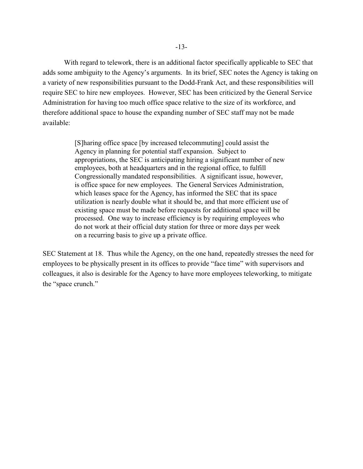With regard to telework, there is an additional factor specifically applicable to SEC that adds some ambiguity to the Agency's arguments. In its brief, SEC notes the Agency is taking on a variety of new responsibilities pursuant to the Dodd-Frank Act, and these responsibilities will require SEC to hire new employees. However, SEC has been criticized by the General Service Administration for having too much office space relative to the size of its workforce, and therefore additional space to house the expanding number of SEC staff may not be made available:

> [S]haring office space [by increased telecommuting] could assist the Agency in planning for potential staff expansion. Subject to appropriations, the SEC is anticipating hiring a significant number of new employees, both at headquarters and in the regional office, to fulfill Congressionally mandated responsibilities. A significant issue, however, is office space for new employees. The General Services Administration, which leases space for the Agency, has informed the SEC that its space utilization is nearly double what it should be, and that more efficient use of existing space must be made before requests for additional space will be processed. One way to increase efficiency is by requiring employees who do not work at their official duty station for three or more days per week on a recurring basis to give up a private office.

SEC Statement at 18. Thus while the Agency, on the one hand, repeatedly stresses the need for employees to be physically present in its offices to provide "face time" with supervisors and colleagues, it also is desirable for the Agency to have more employees teleworking, to mitigate the "space crunch."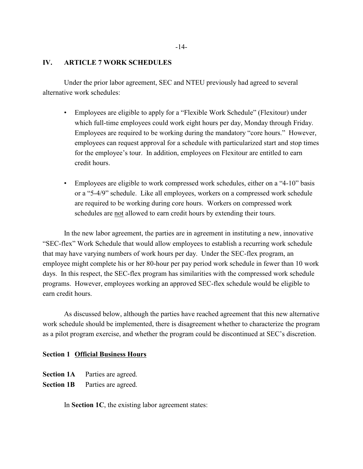# **IV. ARTICLE 7 WORK SCHEDULES**

Under the prior labor agreement, SEC and NTEU previously had agreed to several alternative work schedules:

- Employees are eligible to apply for a "Flexible Work Schedule" (Flexitour) under which full-time employees could work eight hours per day, Monday through Friday. Employees are required to be working during the mandatory "core hours." However, employees can request approval for a schedule with particularized start and stop times for the employee's tour. In addition, employees on Flexitour are entitled to earn credit hours.
- Employees are eligible to work compressed work schedules, either on a "4-10" basis or a "5-4/9" schedule. Like all employees, workers on a compressed work schedule are required to be working during core hours. Workers on compressed work schedules are not allowed to earn credit hours by extending their tours.

In the new labor agreement, the parties are in agreement in instituting a new, innovative "SEC-flex" Work Schedule that would allow employees to establish a recurring work schedule that may have varying numbers of work hours per day. Under the SEC-flex program, an employee might complete his or her 80-hour per pay period work schedule in fewer than 10 work days. In this respect, the SEC-flex program has similarities with the compressed work schedule programs. However, employees working an approved SEC-flex schedule would be eligible to earn credit hours.

As discussed below, although the parties have reached agreement that this new alternative work schedule should be implemented, there is disagreement whether to characterize the program as a pilot program exercise, and whether the program could be discontinued at SEC's discretion.

# **Section 1 Official Business Hours**

- **Section 1A** Parties are agreed.
- **Section 1B** Parties are agreed.

In **Section 1C**, the existing labor agreement states: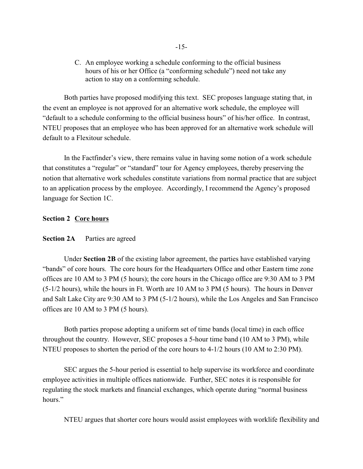C. An employee working a schedule conforming to the official business hours of his or her Office (a "conforming schedule") need not take any action to stay on a conforming schedule.

Both parties have proposed modifying this text. SEC proposes language stating that, in the event an employee is not approved for an alternative work schedule, the employee will "default to a schedule conforming to the official business hours" of his/her office. In contrast, NTEU proposes that an employee who has been approved for an alternative work schedule will default to a Flexitour schedule.

In the Factfinder's view, there remains value in having some notion of a work schedule that constitutes a "regular" or "standard" tour for Agency employees, thereby preserving the notion that alternative work schedules constitute variations from normal practice that are subject to an application process by the employee. Accordingly, I recommend the Agency's proposed language for Section 1C.

# **Section 2 Core hours**

# **Section 2A** Parties are agreed

Under **Section 2B** of the existing labor agreement, the parties have established varying "bands" of core hours. The core hours for the Headquarters Office and other Eastern time zone offices are 10 AM to 3 PM (5 hours); the core hours in the Chicago office are 9:30 AM to 3 PM (5-1/2 hours), while the hours in Ft. Worth are 10 AM to 3 PM (5 hours). The hours in Denver and Salt Lake City are 9:30 AM to 3 PM (5-1/2 hours), while the Los Angeles and San Francisco offices are 10 AM to 3 PM (5 hours).

Both parties propose adopting a uniform set of time bands (local time) in each office throughout the country. However, SEC proposes a 5-hour time band (10 AM to 3 PM), while NTEU proposes to shorten the period of the core hours to 4-1/2 hours (10 AM to 2:30 PM).

SEC argues the 5-hour period is essential to help supervise its workforce and coordinate employee activities in multiple offices nationwide. Further, SEC notes it is responsible for regulating the stock markets and financial exchanges, which operate during "normal business hours."

NTEU argues that shorter core hours would assist employees with worklife flexibility and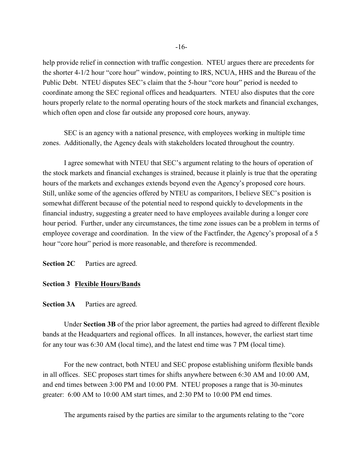help provide relief in connection with traffic congestion. NTEU argues there are precedents for the shorter 4-1/2 hour "core hour" window, pointing to IRS, NCUA, HHS and the Bureau of the Public Debt. NTEU disputes SEC's claim that the 5-hour "core hour" period is needed to coordinate among the SEC regional offices and headquarters. NTEU also disputes that the core hours properly relate to the normal operating hours of the stock markets and financial exchanges, which often open and close far outside any proposed core hours, anyway.

SEC is an agency with a national presence, with employees working in multiple time zones. Additionally, the Agency deals with stakeholders located throughout the country.

I agree somewhat with NTEU that SEC's argument relating to the hours of operation of the stock markets and financial exchanges is strained, because it plainly is true that the operating hours of the markets and exchanges extends beyond even the Agency's proposed core hours. Still, unlike some of the agencies offered by NTEU as comparitors, I believe SEC's position is somewhat different because of the potential need to respond quickly to developments in the financial industry, suggesting a greater need to have employees available during a longer core hour period. Further, under any circumstances, the time zone issues can be a problem in terms of employee coverage and coordination. In the view of the Factfinder, the Agency's proposal of a 5 hour "core hour" period is more reasonable, and therefore is recommended.

**Section 2C** Parties are agreed.

#### **Section 3 Flexible Hours/Bands**

# **Section 3A** Parties are agreed.

Under **Section 3B** of the prior labor agreement, the parties had agreed to different flexible bands at the Headquarters and regional offices. In all instances, however, the earliest start time for any tour was 6:30 AM (local time), and the latest end time was 7 PM (local time).

For the new contract, both NTEU and SEC propose establishing uniform flexible bands in all offices. SEC proposes start times for shifts anywhere between 6:30 AM and 10:00 AM, and end times between 3:00 PM and 10:00 PM. NTEU proposes a range that is 30-minutes greater: 6:00 AM to 10:00 AM start times, and 2:30 PM to 10:00 PM end times.

The arguments raised by the parties are similar to the arguments relating to the "core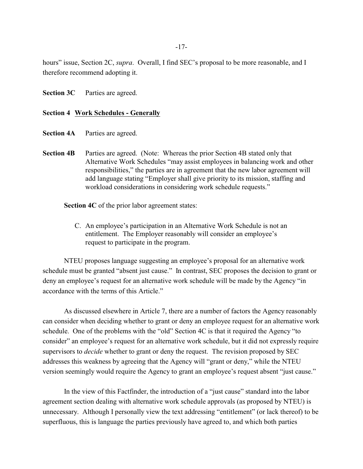hours" issue, Section 2C, *supra*. Overall, I find SEC's proposal to be more reasonable, and I therefore recommend adopting it.

**Section 3C** Parties are agreed.

# **Section 4 Work Schedules - Generally**

- **Section 4A** Parties are agreed.
- **Section 4B** Parties are agreed. (Note: Whereas the prior Section 4B stated only that Alternative Work Schedules "may assist employees in balancing work and other responsibilities," the parties are in agreement that the new labor agreement will add language stating "Employer shall give priority to its mission, staffing and workload considerations in considering work schedule requests."

**Section 4C** of the prior labor agreement states:

C. An employee's participation in an Alternative Work Schedule is not an entitlement. The Employer reasonably will consider an employee's request to participate in the program.

NTEU proposes language suggesting an employee's proposal for an alternative work schedule must be granted "absent just cause." In contrast, SEC proposes the decision to grant or deny an employee's request for an alternative work schedule will be made by the Agency "in accordance with the terms of this Article."

As discussed elsewhere in Article 7, there are a number of factors the Agency reasonably can consider when deciding whether to grant or deny an employee request for an alternative work schedule. One of the problems with the "old" Section 4C is that it required the Agency "to consider" an employee's request for an alternative work schedule, but it did not expressly require supervisors to *decide* whether to grant or deny the request. The revision proposed by SEC addresses this weakness by agreeing that the Agency will "grant or deny," while the NTEU version seemingly would require the Agency to grant an employee's request absent "just cause."

In the view of this Factfinder, the introduction of a "just cause" standard into the labor agreement section dealing with alternative work schedule approvals (as proposed by NTEU) is unnecessary. Although I personally view the text addressing "entitlement" (or lack thereof) to be superfluous, this is language the parties previously have agreed to, and which both parties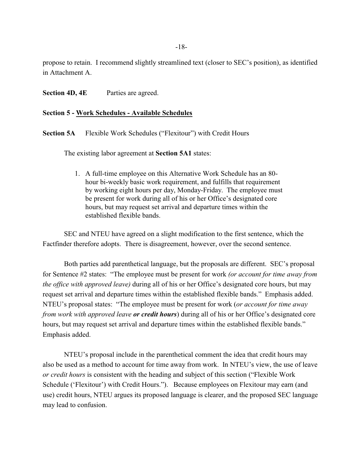propose to retain. I recommend slightly streamlined text (closer to SEC's position), as identified in Attachment A.

**Section 4D, 4E** Parties are agreed.

# **Section 5 - Work Schedules - Available Schedules**

**Section 5A** Flexible Work Schedules ("Flexitour") with Credit Hours

The existing labor agreement at **Section 5A1** states:

1. A full-time employee on this Alternative Work Schedule has an 80 hour bi-weekly basic work requirement, and fulfills that requirement by working eight hours per day, Monday-Friday. The employee must be present for work during all of his or her Office's designated core hours, but may request set arrival and departure times within the established flexible bands.

SEC and NTEU have agreed on a slight modification to the first sentence, which the Factfinder therefore adopts. There is disagreement, however, over the second sentence.

Both parties add parenthetical language, but the proposals are different. SEC's proposal for Sentence #2 states: "The employee must be present for work *(or account for time away from the office with approved leave)* during all of his or her Office's designated core hours, but may request set arrival and departure times within the established flexible bands." Emphasis added. NTEU's proposal states: "The employee must be present for work (*or account for time away from work with approved leave or credit hours*) during all of his or her Office's designated core hours, but may request set arrival and departure times within the established flexible bands." Emphasis added.

NTEU's proposal include in the parenthetical comment the idea that credit hours may also be used as a method to account for time away from work. In NTEU's view, the use of leave *or credit hours* is consistent with the heading and subject of this section ("Flexible Work Schedule ('Flexitour') with Credit Hours."). Because employees on Flexitour may earn (and use) credit hours, NTEU argues its proposed language is clearer, and the proposed SEC language may lead to confusion.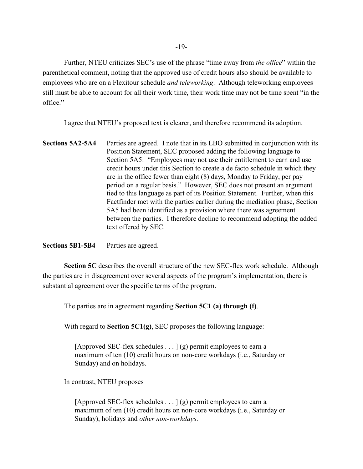Further, NTEU criticizes SEC's use of the phrase "time away from *the office*" within the parenthetical comment, noting that the approved use of credit hours also should be available to employees who are on a Flexitour schedule *and teleworking*. Although teleworking employees still must be able to account for all their work time, their work time may not be time spent "in the office."

I agree that NTEU's proposed text is clearer, and therefore recommend its adoption.

**Sections 5A2-5A4** Parties are agreed. I note that in its LBO submitted in conjunction with its Position Statement, SEC proposed adding the following language to Section 5A5: "Employees may not use their entitlement to earn and use credit hours under this Section to create a de facto schedule in which they are in the office fewer than eight (8) days, Monday to Friday, per pay period on a regular basis." However, SEC does not present an argument tied to this language as part of its Position Statement. Further, when this Factfinder met with the parties earlier during the mediation phase, Section 5A5 had been identified as a provision where there was agreement between the parties. I therefore decline to recommend adopting the added text offered by SEC.

**Sections 5B1-5B4** Parties are agreed.

**Section 5C** describes the overall structure of the new SEC-flex work schedule. Although the parties are in disagreement over several aspects of the program's implementation, there is substantial agreement over the specific terms of the program.

The parties are in agreement regarding **Section 5C1 (a) through (f)**.

With regard to **Section 5C1(g)**, SEC proposes the following language:

[Approved SEC-flex schedules  $\dots$ ] (g) permit employees to earn a maximum of ten (10) credit hours on non-core workdays (i.e., Saturday or Sunday) and on holidays.

In contrast, NTEU proposes

[Approved SEC-flex schedules  $\dots$ ] (g) permit employees to earn a maximum of ten (10) credit hours on non-core workdays (i.e., Saturday or Sunday), holidays and *other non-workdays*.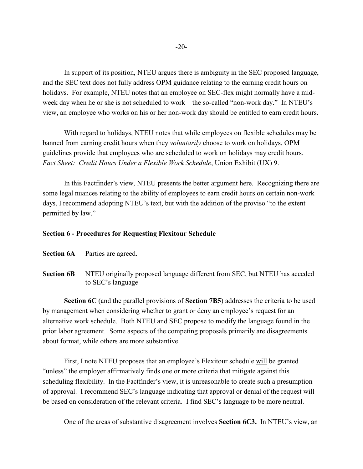In support of its position, NTEU argues there is ambiguity in the SEC proposed language, and the SEC text does not fully address OPM guidance relating to the earning credit hours on holidays. For example, NTEU notes that an employee on SEC-flex might normally have a midweek day when he or she is not scheduled to work – the so-called "non-work day." In NTEU's view, an employee who works on his or her non-work day should be entitled to earn credit hours.

With regard to holidays, NTEU notes that while employees on flexible schedules may be banned from earning credit hours when they *voluntarily* choose to work on holidays, OPM guidelines provide that employees who are scheduled to work on holidays may credit hours. *Fact Sheet: Credit Hours Under a Flexible Work Schedule*, Union Exhibit (UX) 9.

In this Factfinder's view, NTEU presents the better argument here. Recognizing there are some legal nuances relating to the ability of employees to earn credit hours on certain non-work days, I recommend adopting NTEU's text, but with the addition of the proviso "to the extent permitted by law."

#### **Section 6 - Procedures for Requesting Flexitour Schedule**

**Section 6A** Parties are agreed.

**Section 6B** NTEU originally proposed language different from SEC, but NTEU has acceded to SEC's language

**Section 6C** (and the parallel provisions of **Section 7B5**) addresses the criteria to be used by management when considering whether to grant or deny an employee's request for an alternative work schedule. Both NTEU and SEC propose to modify the language found in the prior labor agreement. Some aspects of the competing proposals primarily are disagreements about format, while others are more substantive.

First, I note NTEU proposes that an employee's Flexitour schedule will be granted "unless" the employer affirmatively finds one or more criteria that mitigate against this scheduling flexibility. In the Factfinder's view, it is unreasonable to create such a presumption of approval. I recommend SEC's language indicating that approval or denial of the request will be based on consideration of the relevant criteria. I find SEC's language to be more neutral.

One of the areas of substantive disagreement involves **Section 6C3.** In NTEU's view, an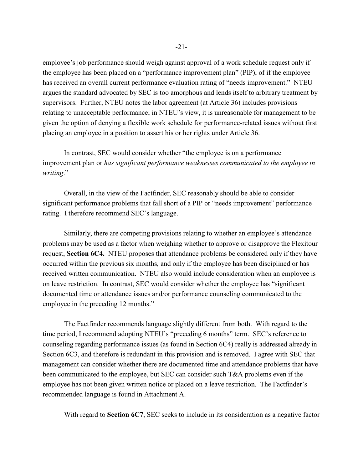employee's job performance should weigh against approval of a work schedule request only if the employee has been placed on a "performance improvement plan" (PIP), of if the employee has received an overall current performance evaluation rating of "needs improvement." NTEU argues the standard advocated by SEC is too amorphous and lends itself to arbitrary treatment by supervisors. Further, NTEU notes the labor agreement (at Article 36) includes provisions relating to unacceptable performance; in NTEU's view, it is unreasonable for management to be given the option of denying a flexible work schedule for performance-related issues without first placing an employee in a position to assert his or her rights under Article 36.

In contrast, SEC would consider whether "the employee is on a performance improvement plan or *has significant performance weaknesses communicated to the employee in writing*."

Overall, in the view of the Factfinder, SEC reasonably should be able to consider significant performance problems that fall short of a PIP or "needs improvement" performance rating. I therefore recommend SEC's language.

Similarly, there are competing provisions relating to whether an employee's attendance problems may be used as a factor when weighing whether to approve or disapprove the Flexitour request, **Section 6C4.** NTEU proposes that attendance problems be considered only if they have occurred within the previous six months, and only if the employee has been disciplined or has received written communication. NTEU also would include consideration when an employee is on leave restriction. In contrast, SEC would consider whether the employee has "significant documented time or attendance issues and/or performance counseling communicated to the employee in the preceding 12 months."

The Factfinder recommends language slightly different from both. With regard to the time period, I recommend adopting NTEU's "preceding 6 months" term. SEC's reference to counseling regarding performance issues (as found in Section 6C4) really is addressed already in Section 6C3, and therefore is redundant in this provision and is removed. I agree with SEC that management can consider whether there are documented time and attendance problems that have been communicated to the employee, but SEC can consider such T&A problems even if the employee has not been given written notice or placed on a leave restriction. The Factfinder's recommended language is found in Attachment A.

With regard to **Section 6C7**, SEC seeks to include in its consideration as a negative factor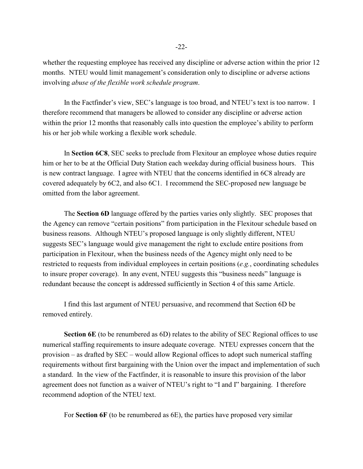whether the requesting employee has received any discipline or adverse action within the prior 12 months. NTEU would limit management's consideration only to discipline or adverse actions involving *abuse of the flexible work schedule program*.

In the Factfinder's view, SEC's language is too broad, and NTEU's text is too narrow. I therefore recommend that managers be allowed to consider any discipline or adverse action within the prior 12 months that reasonably calls into question the employee's ability to perform his or her job while working a flexible work schedule.

In **Section 6C8**, SEC seeks to preclude from Flexitour an employee whose duties require him or her to be at the Official Duty Station each weekday during official business hours. This is new contract language. I agree with NTEU that the concerns identified in 6C8 already are covered adequately by 6C2, and also 6C1. I recommend the SEC-proposed new language be omitted from the labor agreement.

The **Section 6D** language offered by the parties varies only slightly. SEC proposes that the Agency can remove "certain positions" from participation in the Flexitour schedule based on business reasons. Although NTEU's proposed language is only slightly different, NTEU suggests SEC's language would give management the right to exclude entire positions from participation in Flexitour, when the business needs of the Agency might only need to be restricted to requests from individual employees in certain positions (*e.g.*, coordinating schedules to insure proper coverage). In any event, NTEU suggests this "business needs" language is redundant because the concept is addressed sufficiently in Section 4 of this same Article.

I find this last argument of NTEU persuasive, and recommend that Section 6D be removed entirely.

**Section 6E** (to be renumbered as 6D) relates to the ability of SEC Regional offices to use numerical staffing requirements to insure adequate coverage. NTEU expresses concern that the provision – as drafted by SEC – would allow Regional offices to adopt such numerical staffing requirements without first bargaining with the Union over the impact and implementation of such a standard. In the view of the Factfinder, it is reasonable to insure this provision of the labor agreement does not function as a waiver of NTEU's right to "I and I" bargaining. I therefore recommend adoption of the NTEU text.

For **Section 6F** (to be renumbered as 6E), the parties have proposed very similar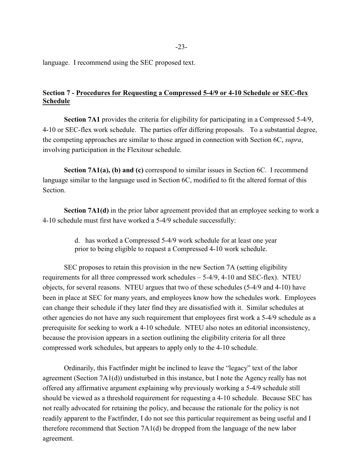language. I recommend using the SEC proposed text.

# **Section 7 - Procedures for Requesting a Compressed 5-4/9 or 4-10 Schedule or SEC-flex Schedule**

**Section 7A1** provides the criteria for eligibility for participating in a Compressed 5-4/9, 4-10 or SEC-flex work schedule. The parties offer differing proposals. To a substantial degree, the competing approaches are similar to those argued in connection with Section 6C, *supra*, involving participation in the Flexitour schedule.

**Section 7A1(a), (b) and (c)** correspond to similar issues in Section 6C. I recommend language similar to the language used in Section 6C, modified to fit the altered format of this Section.

**Section 7A1(d)** in the prior labor agreement provided that an employee seeking to work a 4-10 schedule must first have worked a 5-4/9 schedule successfully:

> d. has worked a Compressed 5-4/9 work schedule for at least one year prior to being eligible to request a Compressed 4-10 work schedule.

SEC proposes to retain this provision in the new Section 7A (setting eligibility requirements for all three compressed work schedules – 5-4/9, 4-10 and SEC-flex). NTEU objects, for several reasons. NTEU argues that two of these schedules (5-4/9 and 4-10) have been in place at SEC for many years, and employees know how the schedules work. Employees can change their schedule if they later find they are dissatisfied with it. Similar schedules at other agencies do not have any such requirement that employees first work a 5-4/9 schedule as a prerequisite for seeking to work a 4-10 schedule. NTEU also notes an editorial inconsistency, because the provision appears in a section outlining the eligibility criteria for all three compressed work schedules, but appears to apply only to the 4-10 schedule.

Ordinarily, this Factfinder might be inclined to leave the "legacy" text of the labor agreement (Section 7A1(d)) undisturbed in this instance, but I note the Agency really has not offered any affirmative argument explaining why previously working a 5-4/9 schedule still should be viewed as a threshold requirement for requesting a 4-10 schedule. Because SEC has not really advocated for retaining the policy, and because the rationale for the policy is not readily apparent to the Factfinder, I do not see this particular requirement as being useful and I therefore recommend that Section 7A1(d) be dropped from the language of the new labor agreement.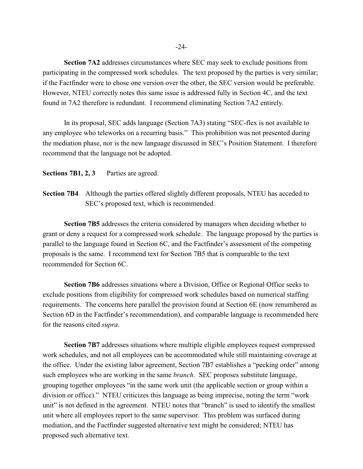**Section 7A2** addresses circumstances where SEC may seek to exclude positions from participating in the compressed work schedules. The text proposed by the parties is very similar; if the Factfinder were to chose one version over the other, the SEC version would be preferable. However, NTEU correctly notes this same issue is addressed fully in Section 4C, and the text found in 7A2 therefore is redundant. I recommend eliminating Section 7A2 entirely.

In its proposal, SEC adds language (Section 7A3) stating "SEC-flex is not available to any employee who teleworks on a recurring basis." This prohibition was not presented during the mediation phase, nor is the new language discussed in SEC's Position Statement. I therefore recommend that the language not be adopted.

**Sections 7B1, 2, 3** Parties are agreed.

**Section 7B4** Although the parties offered slightly different proposals, NTEU has acceded to SEC's proposed text, which is recommended.

**Section 7B5** addresses the criteria considered by managers when deciding whether to grant or deny a request for a compressed work schedule. The language proposed by the parties is parallel to the language found in Section 6C, and the Factfinder's assessment of the competing proposals is the same. I recommend text for Section 7B5 that is comparable to the text recommended for Section 6C.

**Section 7B6** addresses situations where a Division, Office or Regional Office seeks to exclude positions from eligibility for compressed work schedules based on numerical staffing requirements. The concerns here parallel the provision found at Section 6E (now renumbered as Section 6D in the Factfinder's recommendation), and comparable language is recommended here for the reasons cited *supra*.

**Section 7B7** addresses situations where multiple eligible employees request compressed work schedules, and not all employees can be accommodated while still maintaining coverage at the office. Under the existing labor agreement, Section 7B7 establishes a "pecking order" among such employees who are working in the same *branch*. SEC proposes substitute language, grouping together employees "in the same work unit (the applicable section or group within a division or office)." NTEU criticizes this language as being imprecise, noting the term "work unit" is not defined in the agreement. NTEU notes that "branch" is used to identify the smallest unit where all employees report to the same supervisor. This problem was surfaced during mediation, and the Factfinder suggested alternative text might be considered; NTEU has proposed such alternative text.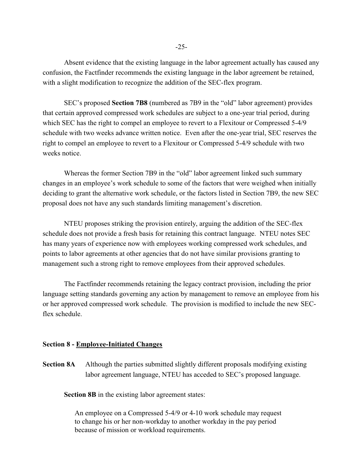Absent evidence that the existing language in the labor agreement actually has caused any confusion, the Factfinder recommends the existing language in the labor agreement be retained, with a slight modification to recognize the addition of the SEC-flex program.

SEC's proposed **Section 7B8** (numbered as 7B9 in the "old" labor agreement) provides that certain approved compressed work schedules are subject to a one-year trial period, during which SEC has the right to compel an employee to revert to a Flexitour or Compressed 5-4/9 schedule with two weeks advance written notice. Even after the one-year trial, SEC reserves the right to compel an employee to revert to a Flexitour or Compressed 5-4/9 schedule with two weeks notice.

Whereas the former Section 7B9 in the "old" labor agreement linked such summary changes in an employee's work schedule to some of the factors that were weighed when initially deciding to grant the alternative work schedule, or the factors listed in Section 7B9, the new SEC proposal does not have any such standards limiting management's discretion.

NTEU proposes striking the provision entirely, arguing the addition of the SEC-flex schedule does not provide a fresh basis for retaining this contract language. NTEU notes SEC has many years of experience now with employees working compressed work schedules, and points to labor agreements at other agencies that do not have similar provisions granting to management such a strong right to remove employees from their approved schedules.

The Factfinder recommends retaining the legacy contract provision, including the prior language setting standards governing any action by management to remove an employee from his or her approved compressed work schedule. The provision is modified to include the new SECflex schedule.

#### **Section 8 - Employee-Initiated Changes**

**Section 8A** Although the parties submitted slightly different proposals modifying existing labor agreement language, NTEU has acceded to SEC's proposed language.

**Section 8B** in the existing labor agreement states:

An employee on a Compressed 5-4/9 or 4-10 work schedule may request to change his or her non-workday to another workday in the pay period because of mission or workload requirements.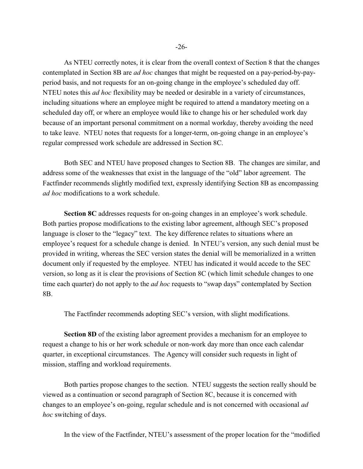As NTEU correctly notes, it is clear from the overall context of Section 8 that the changes contemplated in Section 8B are *ad hoc* changes that might be requested on a pay-period-by-payperiod basis, and not requests for an on-going change in the employee's scheduled day off. NTEU notes this *ad hoc* flexibility may be needed or desirable in a variety of circumstances, including situations where an employee might be required to attend a mandatory meeting on a scheduled day off, or where an employee would like to change his or her scheduled work day because of an important personal commitment on a normal workday, thereby avoiding the need to take leave. NTEU notes that requests for a longer-term, on-going change in an employee's regular compressed work schedule are addressed in Section 8C.

Both SEC and NTEU have proposed changes to Section 8B. The changes are similar, and address some of the weaknesses that exist in the language of the "old" labor agreement. The Factfinder recommends slightly modified text, expressly identifying Section 8B as encompassing *ad hoc* modifications to a work schedule.

**Section 8C** addresses requests for on-going changes in an employee's work schedule. Both parties propose modifications to the existing labor agreement, although SEC's proposed language is closer to the "legacy" text. The key difference relates to situations where an employee's request for a schedule change is denied. In NTEU's version, any such denial must be provided in writing, whereas the SEC version states the denial will be memorialized in a written document only if requested by the employee. NTEU has indicated it would accede to the SEC version, so long as it is clear the provisions of Section 8C (which limit schedule changes to one time each quarter) do not apply to the *ad hoc* requests to "swap days" contemplated by Section 8B.

The Factfinder recommends adopting SEC's version, with slight modifications.

**Section 8D** of the existing labor agreement provides a mechanism for an employee to request a change to his or her work schedule or non-work day more than once each calendar quarter, in exceptional circumstances. The Agency will consider such requests in light of mission, staffing and workload requirements.

Both parties propose changes to the section. NTEU suggests the section really should be viewed as a continuation or second paragraph of Section 8C, because it is concerned with changes to an employee's on-going, regular schedule and is not concerned with occasional *ad hoc* switching of days.

In the view of the Factfinder, NTEU's assessment of the proper location for the "modified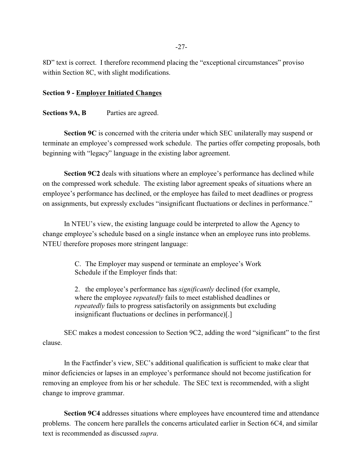8D" text is correct. I therefore recommend placing the "exceptional circumstances" proviso within Section 8C, with slight modifications.

# **Section 9 - Employer Initiated Changes**

# **Sections 9A, B** Parties are agreed.

**Section 9C** is concerned with the criteria under which SEC unilaterally may suspend or terminate an employee's compressed work schedule. The parties offer competing proposals, both beginning with "legacy" language in the existing labor agreement.

**Section 9C2** deals with situations where an employee's performance has declined while on the compressed work schedule. The existing labor agreement speaks of situations where an employee's performance has declined, or the employee has failed to meet deadlines or progress on assignments, but expressly excludes "insignificant fluctuations or declines in performance."

In NTEU's view, the existing language could be interpreted to allow the Agency to change employee's schedule based on a single instance when an employee runs into problems. NTEU therefore proposes more stringent language:

> C. The Employer may suspend or terminate an employee's Work Schedule if the Employer finds that:

2. the employee's performance has *significantly* declined (for example, where the employee *repeatedly* fails to meet established deadlines or *repeatedly* fails to progress satisfactorily on assignments but excluding insignificant fluctuations or declines in performance)[.]

SEC makes a modest concession to Section 9C2, adding the word "significant" to the first clause.

In the Factfinder's view, SEC's additional qualification is sufficient to make clear that minor deficiencies or lapses in an employee's performance should not become justification for removing an employee from his or her schedule. The SEC text is recommended, with a slight change to improve grammar.

**Section 9C4** addresses situations where employees have encountered time and attendance problems. The concern here parallels the concerns articulated earlier in Section 6C4, and similar text is recommended as discussed *supra*.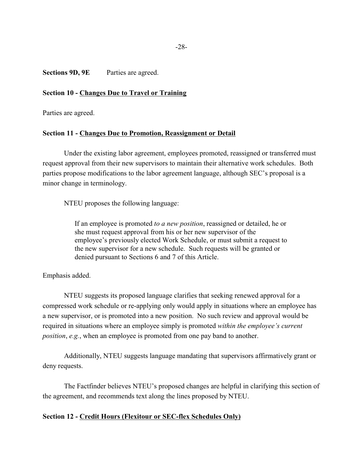Sections 9D, 9E Parties are agreed.

# **Section 10 - Changes Due to Travel or Training**

Parties are agreed.

# **Section 11 - Changes Due to Promotion, Reassignment or Detail**

Under the existing labor agreement, employees promoted, reassigned or transferred must request approval from their new supervisors to maintain their alternative work schedules. Both parties propose modifications to the labor agreement language, although SEC's proposal is a minor change in terminology.

NTEU proposes the following language:

If an employee is promoted *to a new position*, reassigned or detailed, he or she must request approval from his or her new supervisor of the employee's previously elected Work Schedule, or must submit a request to the new supervisor for a new schedule. Such requests will be granted or denied pursuant to Sections 6 and 7 of this Article.

Emphasis added.

NTEU suggests its proposed language clarifies that seeking renewed approval for a compressed work schedule or re-applying only would apply in situations where an employee has a new supervisor, or is promoted into a new position. No such review and approval would be required in situations where an employee simply is promoted *within the employee's current position*, *e.g.*, when an employee is promoted from one pay band to another.

Additionally, NTEU suggests language mandating that supervisors affirmatively grant or deny requests.

The Factfinder believes NTEU's proposed changes are helpful in clarifying this section of the agreement, and recommends text along the lines proposed by NTEU.

# **Section 12 - Credit Hours (Flexitour or SEC-flex Schedules Only)**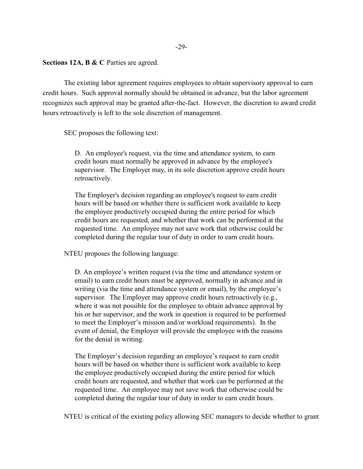**Sections 12A, B & C** Parties are agreed.

The existing labor agreement requires employees to obtain supervisory approval to earn credit hours. Such approval normally should be obtained in advance, but the labor agreement recognizes such approval may be granted after-the-fact. However, the discretion to award credit hours retroactively is left to the sole discretion of management.

SEC proposes the following text:

D. An employee's request, via the time and attendance system, to earn credit hours must normally be approved in advance by the employee's supervisor. The Employer may, in its sole discretion approve credit hours retroactively.

The Employer's decision regarding an employee's request to earn credit hours will be based on whether there is sufficient work available to keep the employee productively occupied during the entire period for which credit hours are requested, and whether that work can be performed at the requested time. An employee may not save work that otherwise could be completed during the regular tour of duty in order to earn credit hours.

NTEU proposes the following language:

D. An employee's written request (via the time and attendance system or email) to earn credit hours must be approved, normally in advance and in writing (via the time and attendance system or email), by the employee's supervisor. The Employer may approve credit hours retroactively (e.g., where it was not possible for the employee to obtain advance approval by his or her supervisor, and the work in question is required to be performed to meet the Employer's mission and/or workload requirements). In the event of denial, the Employer will provide the employee with the reasons for the denial in writing.

The Employer's decision regarding an employee's request to earn credit hours will be based on whether there is sufficient work available to keep the employee productively occupied during the entire period for which credit hours are requested, and whether that work can be performed at the requested time. An employee may not save work that otherwise could be completed during the regular tour of duty in order to earn credit hours.

NTEU is critical of the existing policy allowing SEC managers to decide whether to grant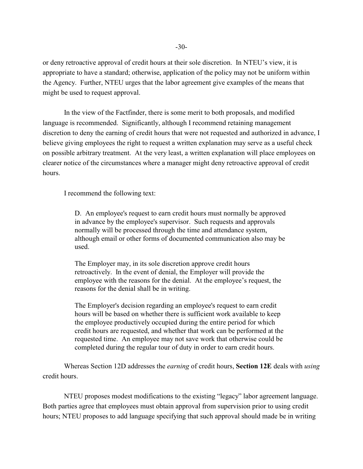or deny retroactive approval of credit hours at their sole discretion. In NTEU's view, it is appropriate to have a standard; otherwise, application of the policy may not be uniform within the Agency. Further, NTEU urges that the labor agreement give examples of the means that might be used to request approval.

In the view of the Factfinder, there is some merit to both proposals, and modified language is recommended. Significantly, although I recommend retaining management discretion to deny the earning of credit hours that were not requested and authorized in advance, I believe giving employees the right to request a written explanation may serve as a useful check on possible arbitrary treatment. At the very least, a written explanation will place employees on clearer notice of the circumstances where a manager might deny retroactive approval of credit hours.

I recommend the following text:

D. An employee's request to earn credit hours must normally be approved in advance by the employee's supervisor. Such requests and approvals normally will be processed through the time and attendance system, although email or other forms of documented communication also may be used.

The Employer may, in its sole discretion approve credit hours retroactively. In the event of denial, the Employer will provide the employee with the reasons for the denial. At the employee's request, the reasons for the denial shall be in writing.

The Employer's decision regarding an employee's request to earn credit hours will be based on whether there is sufficient work available to keep the employee productively occupied during the entire period for which credit hours are requested, and whether that work can be performed at the requested time. An employee may not save work that otherwise could be completed during the regular tour of duty in order to earn credit hours.

Whereas Section 12D addresses the *earning* of credit hours, **Section 12E** deals with *using* credit hours.

NTEU proposes modest modifications to the existing "legacy" labor agreement language. Both parties agree that employees must obtain approval from supervision prior to using credit hours; NTEU proposes to add language specifying that such approval should made be in writing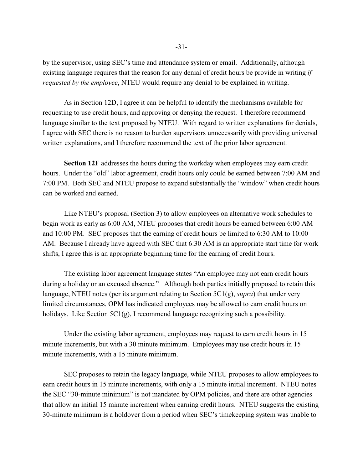by the supervisor, using SEC's time and attendance system or email. Additionally, although existing language requires that the reason for any denial of credit hours be provide in writing *if requested by the employee*, NTEU would require any denial to be explained in writing.

As in Section 12D, I agree it can be helpful to identify the mechanisms available for requesting to use credit hours, and approving or denying the request. I therefore recommend language similar to the text proposed by NTEU. With regard to written explanations for denials, I agree with SEC there is no reason to burden supervisors unnecessarily with providing universal written explanations, and I therefore recommend the text of the prior labor agreement.

**Section 12F** addresses the hours during the workday when employees may earn credit hours. Under the "old" labor agreement, credit hours only could be earned between 7:00 AM and 7:00 PM. Both SEC and NTEU propose to expand substantially the "window" when credit hours can be worked and earned.

Like NTEU's proposal (Section 3) to allow employees on alternative work schedules to begin work as early as 6:00 AM, NTEU proposes that credit hours be earned between 6:00 AM and 10:00 PM. SEC proposes that the earning of credit hours be limited to 6:30 AM to 10:00 AM. Because I already have agreed with SEC that 6:30 AM is an appropriate start time for work shifts, I agree this is an appropriate beginning time for the earning of credit hours.

The existing labor agreement language states "An employee may not earn credit hours during a holiday or an excused absence." Although both parties initially proposed to retain this language, NTEU notes (per its argument relating to Section 5C1(g), *supra*) that under very limited circumstances, OPM has indicated employees may be allowed to earn credit hours on holidays. Like Section 5C1(g), I recommend language recognizing such a possibility.

Under the existing labor agreement, employees may request to earn credit hours in 15 minute increments, but with a 30 minute minimum. Employees may use credit hours in 15 minute increments, with a 15 minute minimum.

SEC proposes to retain the legacy language, while NTEU proposes to allow employees to earn credit hours in 15 minute increments, with only a 15 minute initial increment. NTEU notes the SEC "30-minute minimum" is not mandated by OPM policies, and there are other agencies that allow an initial 15 minute increment when earning credit hours. NTEU suggests the existing 30-minute minimum is a holdover from a period when SEC's timekeeping system was unable to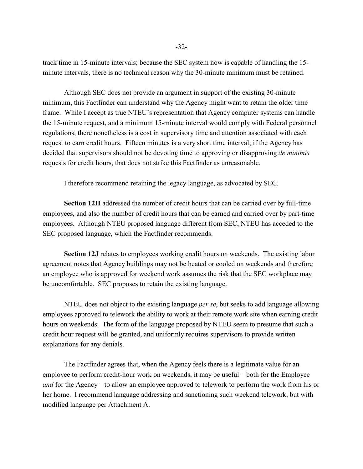track time in 15-minute intervals; because the SEC system now is capable of handling the 15 minute intervals, there is no technical reason why the 30-minute minimum must be retained.

Although SEC does not provide an argument in support of the existing 30-minute minimum, this Factfinder can understand why the Agency might want to retain the older time frame. While I accept as true NTEU's representation that Agency computer systems can handle the 15-minute request, and a minimum 15-minute interval would comply with Federal personnel regulations, there nonetheless is a cost in supervisory time and attention associated with each request to earn credit hours. Fifteen minutes is a very short time interval; if the Agency has decided that supervisors should not be devoting time to approving or disapproving *de minimis* requests for credit hours, that does not strike this Factfinder as unreasonable.

I therefore recommend retaining the legacy language, as advocated by SEC.

**Section 12H** addressed the number of credit hours that can be carried over by full-time employees, and also the number of credit hours that can be earned and carried over by part-time employees. Although NTEU proposed language different from SEC, NTEU has acceded to the SEC proposed language, which the Factfinder recommends.

**Section 12J** relates to employees working credit hours on weekends. The existing labor agreement notes that Agency buildings may not be heated or cooled on weekends and therefore an employee who is approved for weekend work assumes the risk that the SEC workplace may be uncomfortable. SEC proposes to retain the existing language.

NTEU does not object to the existing language *per se*, but seeks to add language allowing employees approved to telework the ability to work at their remote work site when earning credit hours on weekends. The form of the language proposed by NTEU seem to presume that such a credit hour request will be granted, and uniformly requires supervisors to provide written explanations for any denials.

The Factfinder agrees that, when the Agency feels there is a legitimate value for an employee to perform credit-hour work on weekends, it may be useful – both for the Employee *and* for the Agency – to allow an employee approved to telework to perform the work from his or her home. I recommend language addressing and sanctioning such weekend telework, but with modified language per Attachment A.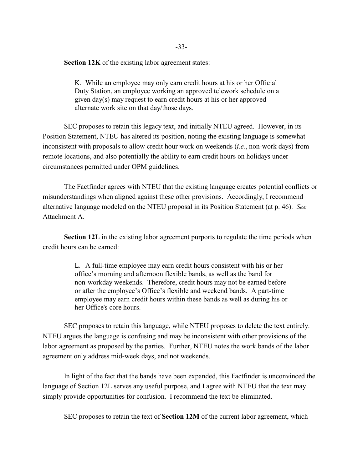**Section 12K** of the existing labor agreement states:

K. While an employee may only earn credit hours at his or her Official Duty Station, an employee working an approved telework schedule on a given day(s) may request to earn credit hours at his or her approved alternate work site on that day/those days.

SEC proposes to retain this legacy text, and initially NTEU agreed. However, in its Position Statement, NTEU has altered its position, noting the existing language is somewhat inconsistent with proposals to allow credit hour work on weekends (*i.e.*, non-work days) from remote locations, and also potentially the ability to earn credit hours on holidays under circumstances permitted under OPM guidelines.

The Factfinder agrees with NTEU that the existing language creates potential conflicts or misunderstandings when aligned against these other provisions. Accordingly, I recommend alternative language modeled on the NTEU proposal in its Position Statement (at p. 46). *See* Attachment A.

**Section 12L** in the existing labor agreement purports to regulate the time periods when credit hours can be earned:

> L. A full-time employee may earn credit hours consistent with his or her office's morning and afternoon flexible bands, as well as the band for non-workday weekends. Therefore, credit hours may not be earned before or after the employee's Office's flexible and weekend bands. A part-time employee may earn credit hours within these bands as well as during his or her Office's core hours.

SEC proposes to retain this language, while NTEU proposes to delete the text entirely. NTEU argues the language is confusing and may be inconsistent with other provisions of the labor agreement as proposed by the parties. Further, NTEU notes the work bands of the labor agreement only address mid-week days, and not weekends.

In light of the fact that the bands have been expanded, this Factfinder is unconvinced the language of Section 12L serves any useful purpose, and I agree with NTEU that the text may simply provide opportunities for confusion. I recommend the text be eliminated.

SEC proposes to retain the text of **Section 12M** of the current labor agreement, which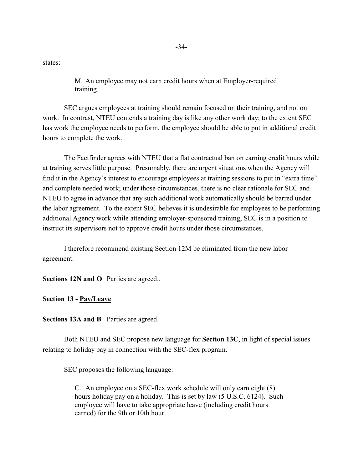states:

M. An employee may not earn credit hours when at Employer-required training.

SEC argues employees at training should remain focused on their training, and not on work. In contrast, NTEU contends a training day is like any other work day; to the extent SEC has work the employee needs to perform, the employee should be able to put in additional credit hours to complete the work.

The Factfinder agrees with NTEU that a flat contractual ban on earning credit hours while at training serves little purpose. Presumably, there are urgent situations when the Agency will find it in the Agency's interest to encourage employees at training sessions to put in "extra time" and complete needed work; under those circumstances, there is no clear rationale for SEC and NTEU to agree in advance that any such additional work automatically should be barred under the labor agreement. To the extent SEC believes it is undesirable for employees to be performing additional Agency work while attending employer-sponsored training, SEC is in a position to instruct its supervisors not to approve credit hours under those circumstances.

I therefore recommend existing Section 12M be eliminated from the new labor agreement.

**Sections 12N and O** Parties are agreed..

**Section 13 - Pay/Leave**

**Sections 13A and B** Parties are agreed.

Both NTEU and SEC propose new language for **Section 13C**, in light of special issues relating to holiday pay in connection with the SEC-flex program.

SEC proposes the following language:

C. An employee on a SEC-flex work schedule will only earn eight (8) hours holiday pay on a holiday. This is set by law (5 U.S.C. 6124). Such employee will have to take appropriate leave (including credit hours earned) for the 9th or 10th hour.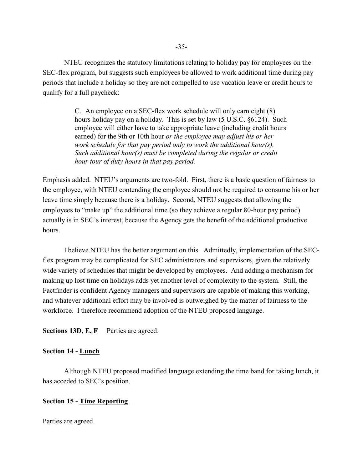NTEU recognizes the statutory limitations relating to holiday pay for employees on the SEC-flex program, but suggests such employees be allowed to work additional time during pay periods that include a holiday so they are not compelled to use vacation leave or credit hours to qualify for a full paycheck:

> C. An employee on a SEC-flex work schedule will only earn eight (8) hours holiday pay on a holiday. This is set by law (5 U.S.C. §6124). Such employee will either have to take appropriate leave (including credit hours earned) for the 9th or 10th hour *or the employee may adjust his or her work schedule for that pay period only to work the additional hour(s). Such additional hour(s) must be completed during the regular or credit hour tour of duty hours in that pay period.*

Emphasis added. NTEU's arguments are two-fold. First, there is a basic question of fairness to the employee, with NTEU contending the employee should not be required to consume his or her leave time simply because there is a holiday. Second, NTEU suggests that allowing the employees to "make up" the additional time (so they achieve a regular 80-hour pay period) actually is in SEC's interest, because the Agency gets the benefit of the additional productive hours.

I believe NTEU has the better argument on this. Admittedly, implementation of the SECflex program may be complicated for SEC administrators and supervisors, given the relatively wide variety of schedules that might be developed by employees. And adding a mechanism for making up lost time on holidays adds yet another level of complexity to the system. Still, the Factfinder is confident Agency managers and supervisors are capable of making this working, and whatever additional effort may be involved is outweighed by the matter of fairness to the workforce. I therefore recommend adoption of the NTEU proposed language.

**Sections 13D, E, F** Parties are agreed.

# **Section 14 - Lunch**

Although NTEU proposed modified language extending the time band for taking lunch, it has acceded to SEC's position.

# **Section 15 - Time Reporting**

Parties are agreed.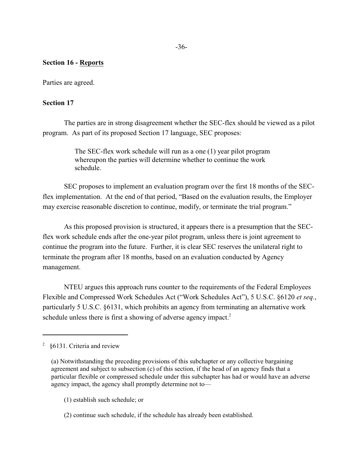# **Section 16 - Reports**

Parties are agreed.

#### **Section 17**

The parties are in strong disagreement whether the SEC-flex should be viewed as a pilot program. As part of its proposed Section 17 language, SEC proposes:

> The SEC-flex work schedule will run as a one (1) year pilot program whereupon the parties will determine whether to continue the work schedule.

SEC proposes to implement an evaluation program over the first 18 months of the SECflex implementation. At the end of that period, "Based on the evaluation results, the Employer may exercise reasonable discretion to continue, modify, or terminate the trial program."

As this proposed provision is structured, it appears there is a presumption that the SECflex work schedule ends after the one-year pilot program, unless there is joint agreement to continue the program into the future. Further, it is clear SEC reserves the unilateral right to terminate the program after 18 months, based on an evaluation conducted by Agency management.

NTEU argues this approach runs counter to the requirements of the Federal Employees Flexible and Compressed Work Schedules Act ("Work Schedules Act"), 5 U.S.C. §6120 *et seq.*, particularly 5 U.S.C. §6131, which prohibits an agency from terminating an alternative work schedule unless there is first a showing of adverse agency impact.<sup>2</sup>

- (1) establish such schedule; or
- (2) continue such schedule, if the schedule has already been established.

 $2\,$  §6131. Criteria and review

<sup>(</sup>a) Notwithstanding the preceding provisions of this subchapter or any collective bargaining agreement and subject to subsection (c) of this section, if the head of an agency finds that a particular flexible or compressed schedule under this subchapter has had or would have an adverse agency impact, the agency shall promptly determine not to—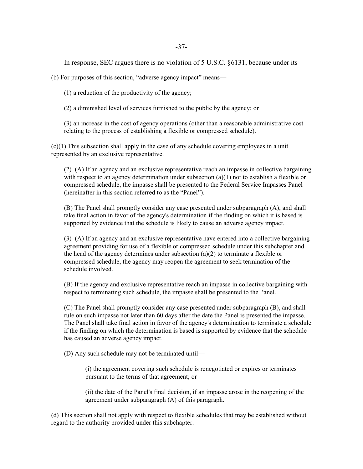In response, SEC argues there is no violation of 5 U.S.C. §6131, because under its

(b) For purposes of this section, "adverse agency impact" means—

(1) a reduction of the productivity of the agency;

(2) a diminished level of services furnished to the public by the agency; or

(3) an increase in the cost of agency operations (other than a reasonable administrative cost relating to the process of establishing a flexible or compressed schedule).

(c)(1) This subsection shall apply in the case of any schedule covering employees in a unit represented by an exclusive representative.

(2) (A) If an agency and an exclusive representative reach an impasse in collective bargaining with respect to an agency determination under subsection  $(a)(1)$  not to establish a flexible or compressed schedule, the impasse shall be presented to the Federal Service Impasses Panel (hereinafter in this section referred to as the "Panel").

(B) The Panel shall promptly consider any case presented under subparagraph (A), and shall take final action in favor of the agency's determination if the finding on which it is based is supported by evidence that the schedule is likely to cause an adverse agency impact.

(3) (A) If an agency and an exclusive representative have entered into a collective bargaining agreement providing for use of a flexible or compressed schedule under this subchapter and the head of the agency determines under subsection (a)(2) to terminate a flexible or compressed schedule, the agency may reopen the agreement to seek termination of the schedule involved.

(B) If the agency and exclusive representative reach an impasse in collective bargaining with respect to terminating such schedule, the impasse shall be presented to the Panel.

(C) The Panel shall promptly consider any case presented under subparagraph (B), and shall rule on such impasse not later than 60 days after the date the Panel is presented the impasse. The Panel shall take final action in favor of the agency's determination to terminate a schedule if the finding on which the determination is based is supported by evidence that the schedule has caused an adverse agency impact.

(D) Any such schedule may not be terminated until—

(i) the agreement covering such schedule is renegotiated or expires or terminates pursuant to the terms of that agreement; or

(ii) the date of the Panel's final decision, if an impasse arose in the reopening of the agreement under subparagraph (A) of this paragraph.

(d) This section shall not apply with respect to flexible schedules that may be established without regard to the authority provided under this subchapter.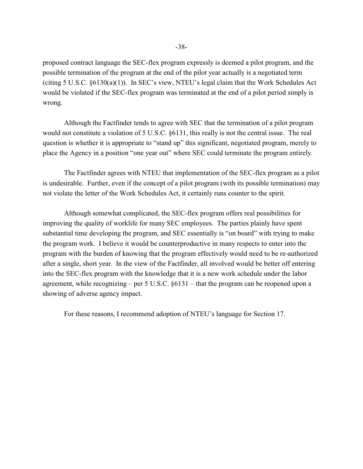proposed contract language the SEC-flex program expressly is deemed a pilot program, and the possible termination of the program at the end of the pilot year actually is a negotiated term (citing 5 U.S.C. §6130(a)(1)). In SEC's view, NTEU's legal claim that the Work Schedules Act would be violated if the SEC-flex program was terminated at the end of a pilot period simply is wrong.

Although the Factfinder tends to agree with SEC that the termination of a pilot program would not constitute a violation of 5 U.S.C. §6131, this really is not the central issue. The real question is whether it is appropriate to "stand up" this significant, negotiated program, merely to place the Agency in a position "one year out" where SEC could terminate the program entirely.

The Factfinder agrees with NTEU that implementation of the SEC-flex program as a pilot is undesirable. Further, even if the concept of a pilot program (with its possible termination) may not violate the letter of the Work Schedules Act, it certainly runs counter to the spirit.

Although somewhat complicated, the SEC-flex program offers real possibilities for improving the quality of worklife for many SEC employees. The parties plainly have spent substantial time developing the program, and SEC essentially is "on board" with trying to make the program work. I believe it would be counterproductive in many respects to enter into the program with the burden of knowing that the program effectively would need to be re-authorized after a single, short year. In the view of the Factfinder, all involved would be better off entering into the SEC-flex program with the knowledge that it is a new work schedule under the labor agreement, while recognizing – per  $5 \text{ U.S.C. }$   $6131 -$  that the program can be reopened upon a showing of adverse agency impact.

For these reasons, I recommend adoption of NTEU's language for Section 17.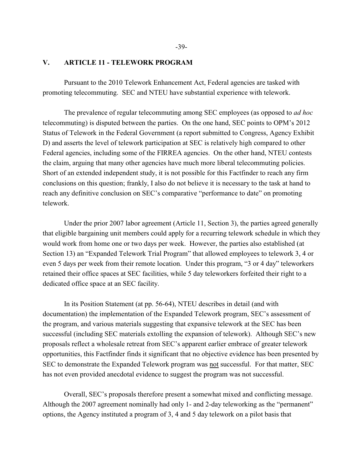### **V. ARTICLE 11 - TELEWORK PROGRAM**

Pursuant to the 2010 Telework Enhancement Act, Federal agencies are tasked with promoting telecommuting. SEC and NTEU have substantial experience with telework.

The prevalence of regular telecommuting among SEC employees (as opposed to *ad hoc* telecommuting) is disputed between the parties. On the one hand, SEC points to OPM's 2012 Status of Telework in the Federal Government (a report submitted to Congress, Agency Exhibit D) and asserts the level of telework participation at SEC is relatively high compared to other Federal agencies, including some of the FIRREA agencies. On the other hand, NTEU contests the claim, arguing that many other agencies have much more liberal telecommuting policies. Short of an extended independent study, it is not possible for this Factfinder to reach any firm conclusions on this question; frankly, I also do not believe it is necessary to the task at hand to reach any definitive conclusion on SEC's comparative "performance to date" on promoting telework.

Under the prior 2007 labor agreement (Article 11, Section 3), the parties agreed generally that eligible bargaining unit members could apply for a recurring telework schedule in which they would work from home one or two days per week. However, the parties also established (at Section 13) an "Expanded Telework Trial Program" that allowed employees to telework 3, 4 or even 5 days per week from their remote location. Under this program, "3 or 4 day" teleworkers retained their office spaces at SEC facilities, while 5 day teleworkers forfeited their right to a dedicated office space at an SEC facility.

In its Position Statement (at pp. 56-64), NTEU describes in detail (and with documentation) the implementation of the Expanded Telework program, SEC's assessment of the program, and various materials suggesting that expansive telework at the SEC has been successful (including SEC materials extolling the expansion of telework). Although SEC's new proposals reflect a wholesale retreat from SEC's apparent earlier embrace of greater telework opportunities, this Factfinder finds it significant that no objective evidence has been presented by SEC to demonstrate the Expanded Telework program was not successful. For that matter, SEC has not even provided anecdotal evidence to suggest the program was not successful.

Overall, SEC's proposals therefore present a somewhat mixed and conflicting message. Although the 2007 agreement nominally had only 1- and 2-day teleworking as the "permanent" options, the Agency instituted a program of 3, 4 and 5 day telework on a pilot basis that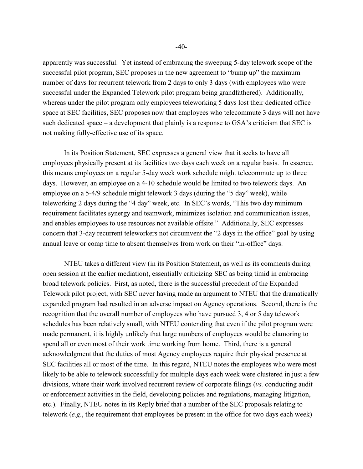apparently was successful. Yet instead of embracing the sweeping 5-day telework scope of the successful pilot program, SEC proposes in the new agreement to "bump up" the maximum number of days for recurrent telework from 2 days to only 3 days (with employees who were successful under the Expanded Telework pilot program being grandfathered). Additionally, whereas under the pilot program only employees teleworking 5 days lost their dedicated office space at SEC facilities, SEC proposes now that employees who telecommute 3 days will not have such dedicated space – a development that plainly is a response to GSA's criticism that SEC is not making fully-effective use of its space.

In its Position Statement, SEC expresses a general view that it seeks to have all employees physically present at its facilities two days each week on a regular basis. In essence, this means employees on a regular 5-day week work schedule might telecommute up to three days. However, an employee on a 4-10 schedule would be limited to two telework days. An employee on a 5-4/9 schedule might telework 3 days (during the "5 day" week), while teleworking 2 days during the "4 day" week, etc. In SEC's words, "This two day minimum requirement facilitates synergy and teamwork, minimizes isolation and communication issues, and enables employees to use resources not available offsite." Additionally, SEC expresses concern that 3-day recurrent teleworkers not circumvent the "2 days in the office" goal by using annual leave or comp time to absent themselves from work on their "in-office" days.

NTEU takes a different view (in its Position Statement, as well as its comments during open session at the earlier mediation), essentially criticizing SEC as being timid in embracing broad telework policies. First, as noted, there is the successful precedent of the Expanded Telework pilot project, with SEC never having made an argument to NTEU that the dramatically expanded program had resulted in an adverse impact on Agency operations. Second, there is the recognition that the overall number of employees who have pursued 3, 4 or 5 day telework schedules has been relatively small, with NTEU contending that even if the pilot program were made permanent, it is highly unlikely that large numbers of employees would be clamoring to spend all or even most of their work time working from home. Third, there is a general acknowledgment that the duties of most Agency employees require their physical presence at SEC facilities all or most of the time. In this regard, NTEU notes the employees who were most likely to be able to telework successfully for multiple days each week were clustered in just a few divisions, where their work involved recurrent review of corporate filings (*vs.* conducting audit or enforcement activities in the field, developing policies and regulations, managing litigation, etc.). Finally, NTEU notes in its Reply brief that a number of the SEC proposals relating to telework (*e.g.*, the requirement that employees be present in the office for two days each week)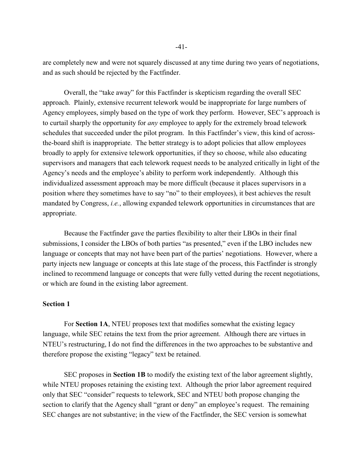are completely new and were not squarely discussed at any time during two years of negotiations, and as such should be rejected by the Factfinder.

Overall, the "take away" for this Factfinder is skepticism regarding the overall SEC approach. Plainly, extensive recurrent telework would be inappropriate for large numbers of Agency employees, simply based on the type of work they perform. However, SEC's approach is to curtail sharply the opportunity for *any* employee to apply for the extremely broad telework schedules that succeeded under the pilot program. In this Factfinder's view, this kind of acrossthe-board shift is inappropriate. The better strategy is to adopt policies that allow employees broadly to apply for extensive telework opportunities, if they so choose, while also educating supervisors and managers that each telework request needs to be analyzed critically in light of the Agency's needs and the employee's ability to perform work independently. Although this individualized assessment approach may be more difficult (because it places supervisors in a position where they sometimes have to say "no" to their employees), it best achieves the result mandated by Congress, *i.e.*, allowing expanded telework opportunities in circumstances that are appropriate.

Because the Factfinder gave the parties flexibility to alter their LBOs in their final submissions, I consider the LBOs of both parties "as presented," even if the LBO includes new language or concepts that may not have been part of the parties' negotiations. However, where a party injects new language or concepts at this late stage of the process, this Factfinder is strongly inclined to recommend language or concepts that were fully vetted during the recent negotiations, or which are found in the existing labor agreement.

# **Section 1**

For **Section 1A**, NTEU proposes text that modifies somewhat the existing legacy language, while SEC retains the text from the prior agreement. Although there are virtues in NTEU's restructuring, I do not find the differences in the two approaches to be substantive and therefore propose the existing "legacy" text be retained.

SEC proposes in **Section 1B** to modify the existing text of the labor agreement slightly, while NTEU proposes retaining the existing text. Although the prior labor agreement required only that SEC "consider" requests to telework, SEC and NTEU both propose changing the section to clarify that the Agency shall "grant or deny" an employee's request. The remaining SEC changes are not substantive; in the view of the Factfinder, the SEC version is somewhat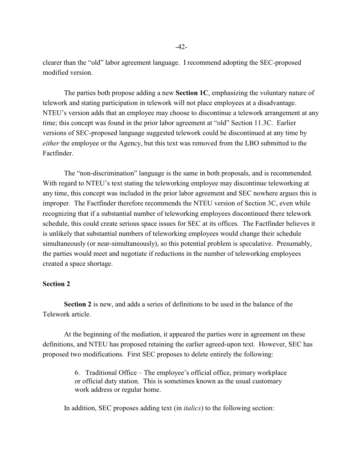clearer than the "old" labor agreement language. I recommend adopting the SEC-proposed modified version.

The parties both propose adding a new **Section 1C**, emphasizing the voluntary nature of telework and stating participation in telework will not place employees at a disadvantage. NTEU's version adds that an employee may choose to discontinue a telework arrangement at any time; this concept was found in the prior labor agreement at "old" Section 11.3C. Earlier versions of SEC-proposed language suggested telework could be discontinued at any time by *either* the employee or the Agency, but this text was removed from the LBO submitted to the Factfinder.

The "non-discrimination" language is the same in both proposals, and is recommended. With regard to NTEU's text stating the teleworking employee may discontinue teleworking at any time, this concept was included in the prior labor agreement and SEC nowhere argues this is improper. The Factfinder therefore recommends the NTEU version of Section 3C, even while recognizing that if a substantial number of teleworking employees discontinued there telework schedule, this could create serious space issues for SEC at its offices. The Factfinder believes it is unlikely that substantial numbers of teleworking employees would change their schedule simultaneously (or near-simultaneously), so this potential problem is speculative. Presumably, the parties would meet and negotiate if reductions in the number of teleworking employees created a space shortage.

#### **Section 2**

**Section 2** is new, and adds a series of definitions to be used in the balance of the Telework article.

At the beginning of the mediation, it appeared the parties were in agreement on these definitions, and NTEU has proposed retaining the earlier agreed-upon text. However, SEC has proposed two modifications. First SEC proposes to delete entirely the following:

> 6. Traditional Office – The employee's official office, primary workplace or official duty station. This is sometimes known as the usual customary work address or regular home.

In addition, SEC proposes adding text (in *italics*) to the following section: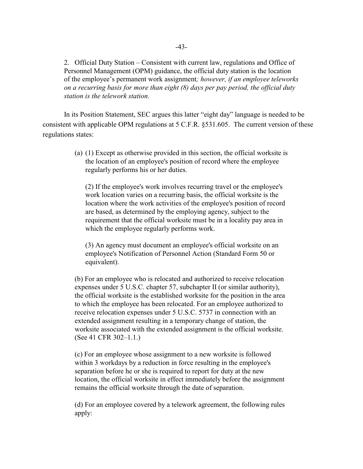2. Official Duty Station – Consistent with current law, regulations and Office of Personnel Management (OPM) guidance, the official duty station is the location of the employee's permanent work assignment*; however, if an employee teleworks on a recurring basis for more than eight (8) days per pay period, the official duty station is the telework station*.

In its Position Statement, SEC argues this latter "eight day" language is needed to be consistent with applicable OPM regulations at 5 C.F.R. §531.605. The current version of these regulations states:

> (a) (1) Except as otherwise provided in this section, the official worksite is the location of an employee's position of record where the employee regularly performs his or her duties.

(2) If the employee's work involves recurring travel or the employee's work location varies on a recurring basis, the official worksite is the location where the work activities of the employee's position of record are based, as determined by the employing agency, subject to the requirement that the official worksite must be in a locality pay area in which the employee regularly performs work.

(3) An agency must document an employee's official worksite on an employee's Notification of Personnel Action (Standard Form 50 or equivalent).

(b) For an employee who is relocated and authorized to receive relocation expenses under 5 U.S.C. chapter 57, subchapter II (or similar authority), the official worksite is the established worksite for the position in the area to which the employee has been relocated. For an employee authorized to receive relocation expenses under 5 U.S.C. 5737 in connection with an extended assignment resulting in a temporary change of station, the worksite associated with the extended assignment is the official worksite. (See 41 CFR 302–1.1.)

(c) For an employee whose assignment to a new worksite is followed within 3 workdays by a reduction in force resulting in the employee's separation before he or she is required to report for duty at the new location, the official worksite in effect immediately before the assignment remains the official worksite through the date of separation.

(d) For an employee covered by a telework agreement, the following rules apply: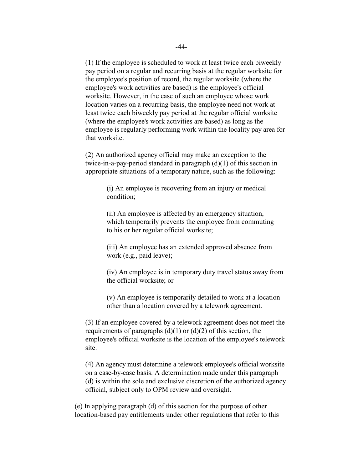(1) If the employee is scheduled to work at least twice each biweekly pay period on a regular and recurring basis at the regular worksite for the employee's position of record, the regular worksite (where the employee's work activities are based) is the employee's official worksite. However, in the case of such an employee whose work location varies on a recurring basis, the employee need not work at least twice each biweekly pay period at the regular official worksite (where the employee's work activities are based) as long as the employee is regularly performing work within the locality pay area for that worksite.

(2) An authorized agency official may make an exception to the twice-in-a-pay-period standard in paragraph  $(d)(1)$  of this section in appropriate situations of a temporary nature, such as the following:

> (i) An employee is recovering from an injury or medical condition;

(ii) An employee is affected by an emergency situation, which temporarily prevents the employee from commuting to his or her regular official worksite;

(iii) An employee has an extended approved absence from work (e.g., paid leave);

(iv) An employee is in temporary duty travel status away from the official worksite; or

(v) An employee is temporarily detailed to work at a location other than a location covered by a telework agreement.

(3) If an employee covered by a telework agreement does not meet the requirements of paragraphs  $(d)(1)$  or  $(d)(2)$  of this section, the employee's official worksite is the location of the employee's telework site.

(4) An agency must determine a telework employee's official worksite on a case-by-case basis. A determination made under this paragraph (d) is within the sole and exclusive discretion of the authorized agency official, subject only to OPM review and oversight.

(e) In applying paragraph (d) of this section for the purpose of other location-based pay entitlements under other regulations that refer to this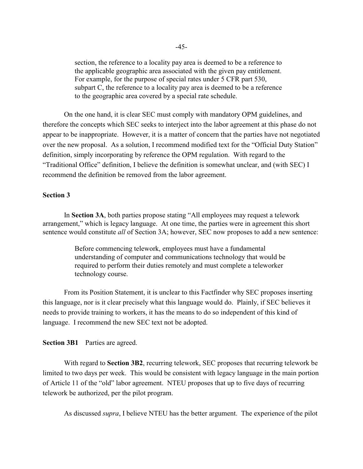section, the reference to a locality pay area is deemed to be a reference to the applicable geographic area associated with the given pay entitlement. For example, for the purpose of special rates under 5 CFR part 530, subpart C, the reference to a locality pay area is deemed to be a reference to the geographic area covered by a special rate schedule.

On the one hand, it is clear SEC must comply with mandatory OPM guidelines, and therefore the concepts which SEC seeks to interject into the labor agreement at this phase do not appear to be inappropriate. However, it is a matter of concern that the parties have not negotiated over the new proposal. As a solution, I recommend modified text for the "Official Duty Station" definition, simply incorporating by reference the OPM regulation. With regard to the "Traditional Office" definition, I believe the definition is somewhat unclear, and (with SEC) I recommend the definition be removed from the labor agreement.

### **Section 3**

In **Section 3A**, both parties propose stating "All employees may request a telework arrangement," which is legacy language. At one time, the parties were in agreement this short sentence would constitute *all* of Section 3A; however, SEC now proposes to add a new sentence:

> Before commencing telework, employees must have a fundamental understanding of computer and communications technology that would be required to perform their duties remotely and must complete a teleworker technology course.

From its Position Statement, it is unclear to this Factfinder why SEC proposes inserting this language, nor is it clear precisely what this language would do. Plainly, if SEC believes it needs to provide training to workers, it has the means to do so independent of this kind of language. I recommend the new SEC text not be adopted.

**Section 3B1** Parties are agreed.

With regard to **Section 3B2**, recurring telework, SEC proposes that recurring telework be limited to two days per week. This would be consistent with legacy language in the main portion of Article 11 of the "old" labor agreement. NTEU proposes that up to five days of recurring telework be authorized, per the pilot program.

As discussed *supra*, I believe NTEU has the better argument. The experience of the pilot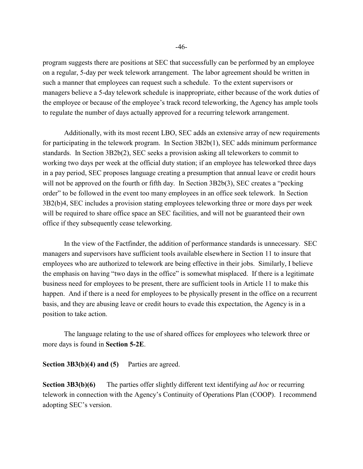program suggests there are positions at SEC that successfully can be performed by an employee on a regular, 5-day per week telework arrangement. The labor agreement should be written in such a manner that employees can request such a schedule. To the extent supervisors or managers believe a 5-day telework schedule is inappropriate, either because of the work duties of the employee or because of the employee's track record teleworking, the Agency has ample tools to regulate the number of days actually approved for a recurring telework arrangement.

Additionally, with its most recent LBO, SEC adds an extensive array of new requirements for participating in the telework program. In Section 3B2b(1), SEC adds minimum performance standards. In Section 3B2b(2), SEC seeks a provision asking all teleworkers to commit to working two days per week at the official duty station; if an employee has teleworked three days in a pay period, SEC proposes language creating a presumption that annual leave or credit hours will not be approved on the fourth or fifth day. In Section 3B2b(3), SEC creates a "pecking order" to be followed in the event too many employees in an office seek telework. In Section 3B2(b)4, SEC includes a provision stating employees teleworking three or more days per week will be required to share office space an SEC facilities, and will not be guaranteed their own office if they subsequently cease teleworking.

In the view of the Factfinder, the addition of performance standards is unnecessary. SEC managers and supervisors have sufficient tools available elsewhere in Section 11 to insure that employees who are authorized to telework are being effective in their jobs. Similarly, I believe the emphasis on having "two days in the office" is somewhat misplaced. If there is a legitimate business need for employees to be present, there are sufficient tools in Article 11 to make this happen. And if there is a need for employees to be physically present in the office on a recurrent basis, and they are abusing leave or credit hours to evade this expectation, the Agency is in a position to take action.

The language relating to the use of shared offices for employees who telework three or more days is found in **Section 5-2E**.

**Section 3B3(b)(4) and (5)** Parties are agreed.

**Section 3B3(b)(6)** The parties offer slightly different text identifying *ad hoc* or recurring telework in connection with the Agency's Continuity of Operations Plan (COOP). I recommend adopting SEC's version.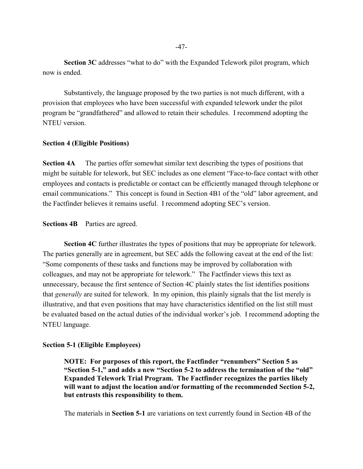**Section 3C** addresses "what to do" with the Expanded Telework pilot program, which now is ended.

Substantively, the language proposed by the two parties is not much different, with a provision that employees who have been successful with expanded telework under the pilot program be "grandfathered" and allowed to retain their schedules. I recommend adopting the NTEU version.

#### **Section 4 (Eligible Positions)**

**Section 4A** The parties offer somewhat similar text describing the types of positions that might be suitable for telework, but SEC includes as one element "Face-to-face contact with other employees and contacts is predictable or contact can be efficiently managed through telephone or email communications." This concept is found in Section 4B1 of the "old" labor agreement, and the Factfinder believes it remains useful. I recommend adopting SEC's version.

#### **Sections 4B** Parties are agreed.

**Section 4C** further illustrates the types of positions that may be appropriate for telework. The parties generally are in agreement, but SEC adds the following caveat at the end of the list: "Some components of these tasks and functions may be improved by collaboration with colleagues, and may not be appropriate for telework." The Factfinder views this text as unnecessary, because the first sentence of Section 4C plainly states the list identifies positions that *generally* are suited for telework. In my opinion, this plainly signals that the list merely is illustrative, and that even positions that may have characteristics identified on the list still must be evaluated based on the actual duties of the individual worker's job. I recommend adopting the NTEU language.

#### **Section 5-1 (Eligible Employees)**

**NOTE: For purposes of this report, the Factfinder "renumbers" Section 5 as "Section 5-1," and adds a new "Section 5-2 to address the termination of the "old" Expanded Telework Trial Program. The Factfinder recognizes the parties likely will want to adjust the location and/or formatting of the recommended Section 5-2, but entrusts this responsibility to them.**

The materials in **Section 5-1** are variations on text currently found in Section 4B of the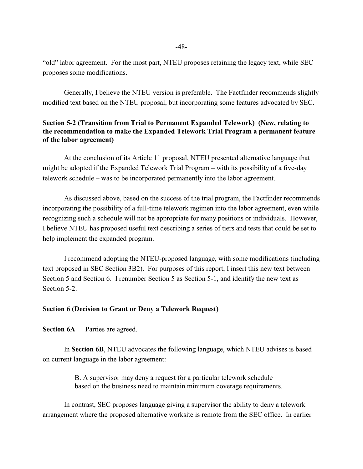"old" labor agreement. For the most part, NTEU proposes retaining the legacy text, while SEC proposes some modifications.

Generally, I believe the NTEU version is preferable. The Factfinder recommends slightly modified text based on the NTEU proposal, but incorporating some features advocated by SEC.

# **Section 5-2 (Transition from Trial to Permanent Expanded Telework) (New, relating to the recommendation to make the Expanded Telework Trial Program a permanent feature of the labor agreement)**

At the conclusion of its Article 11 proposal, NTEU presented alternative language that might be adopted if the Expanded Telework Trial Program – with its possibility of a five-day telework schedule – was to be incorporated permanently into the labor agreement.

As discussed above, based on the success of the trial program, the Factfinder recommends incorporating the possibility of a full-time telework regimen into the labor agreement, even while recognizing such a schedule will not be appropriate for many positions or individuals. However, I believe NTEU has proposed useful text describing a series of tiers and tests that could be set to help implement the expanded program.

I recommend adopting the NTEU-proposed language, with some modifications (including text proposed in SEC Section 3B2). For purposes of this report, I insert this new text between Section 5 and Section 6. I renumber Section 5 as Section 5-1, and identify the new text as Section 5-2.

### **Section 6 (Decision to Grant or Deny a Telework Request)**

**Section 6A** Parties are agreed.

In **Section 6B**, NTEU advocates the following language, which NTEU advises is based on current language in the labor agreement:

> B. A supervisor may deny a request for a particular telework schedule based on the business need to maintain minimum coverage requirements.

In contrast, SEC proposes language giving a supervisor the ability to deny a telework arrangement where the proposed alternative worksite is remote from the SEC office. In earlier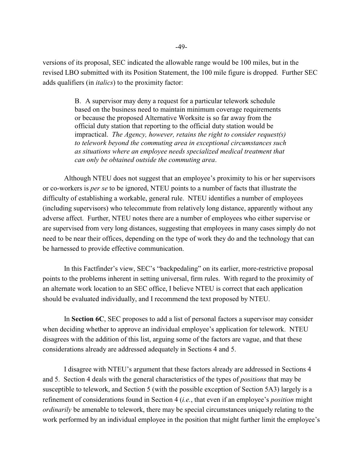versions of its proposal, SEC indicated the allowable range would be 100 miles, but in the revised LBO submitted with its Position Statement, the 100 mile figure is dropped. Further SEC adds qualifiers (in *italics*) to the proximity factor:

> B. A supervisor may deny a request for a particular telework schedule based on the business need to maintain minimum coverage requirements or because the proposed Alternative Worksite is so far away from the official duty station that reporting to the official duty station would be impractical. *The Agency, however, retains the right to consider request(s) to telework beyond the commuting area in exceptional circumstances such as situations where an employee needs specialized medical treatment that can only be obtained outside the commuting area*.

Although NTEU does not suggest that an employee's proximity to his or her supervisors or co-workers is *per se* to be ignored, NTEU points to a number of facts that illustrate the difficulty of establishing a workable, general rule. NTEU identifies a number of employees (including supervisors) who telecommute from relatively long distance, apparently without any adverse affect. Further, NTEU notes there are a number of employees who either supervise or are supervised from very long distances, suggesting that employees in many cases simply do not need to be near their offices, depending on the type of work they do and the technology that can be harnessed to provide effective communication.

In this Factfinder's view, SEC's "backpedaling" on its earlier, more-restrictive proposal points to the problems inherent in setting universal, firm rules. With regard to the proximity of an alternate work location to an SEC office, I believe NTEU is correct that each application should be evaluated individually, and I recommend the text proposed by NTEU.

In **Section 6C**, SEC proposes to add a list of personal factors a supervisor may consider when deciding whether to approve an individual employee's application for telework. NTEU disagrees with the addition of this list, arguing some of the factors are vague, and that these considerations already are addressed adequately in Sections 4 and 5.

I disagree with NTEU's argument that these factors already are addressed in Sections 4 and 5. Section 4 deals with the general characteristics of the types of *positions* that may be susceptible to telework, and Section 5 (with the possible exception of Section 5A3) largely is a refinement of considerations found in Section 4 (*i.e.*, that even if an employee's *position* might *ordinarily* be amenable to telework, there may be special circumstances uniquely relating to the work performed by an individual employee in the position that might further limit the employee's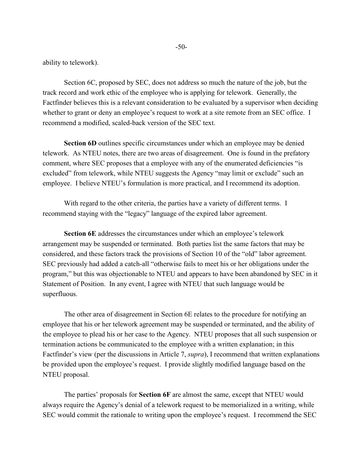ability to telework).

Section 6C, proposed by SEC, does not address so much the nature of the job, but the track record and work ethic of the employee who is applying for telework. Generally, the Factfinder believes this is a relevant consideration to be evaluated by a supervisor when deciding whether to grant or deny an employee's request to work at a site remote from an SEC office. I recommend a modified, scaled-back version of the SEC text.

**Section 6D** outlines specific circumstances under which an employee may be denied telework. As NTEU notes, there are two areas of disagreement. One is found in the prefatory comment, where SEC proposes that a employee with any of the enumerated deficiencies "is excluded" from telework, while NTEU suggests the Agency "may limit or exclude" such an employee. I believe NTEU's formulation is more practical, and I recommend its adoption.

With regard to the other criteria, the parties have a variety of different terms. I recommend staying with the "legacy" language of the expired labor agreement.

**Section 6E** addresses the circumstances under which an employee's telework arrangement may be suspended or terminated. Both parties list the same factors that may be considered, and these factors track the provisions of Section 10 of the "old" labor agreement. SEC previously had added a catch-all "otherwise fails to meet his or her obligations under the program," but this was objectionable to NTEU and appears to have been abandoned by SEC in it Statement of Position. In any event, I agree with NTEU that such language would be superfluous.

The other area of disagreement in Section 6E relates to the procedure for notifying an employee that his or her telework agreement may be suspended or terminated, and the ability of the employee to plead his or her case to the Agency. NTEU proposes that all such suspension or termination actions be communicated to the employee with a written explanation; in this Factfinder's view (per the discussions in Article 7, *supra*), I recommend that written explanations be provided upon the employee's request. I provide slightly modified language based on the NTEU proposal.

The parties' proposals for **Section 6F** are almost the same, except that NTEU would always require the Agency's denial of a telework request to be memorialized in a writing, while SEC would commit the rationale to writing upon the employee's request. I recommend the SEC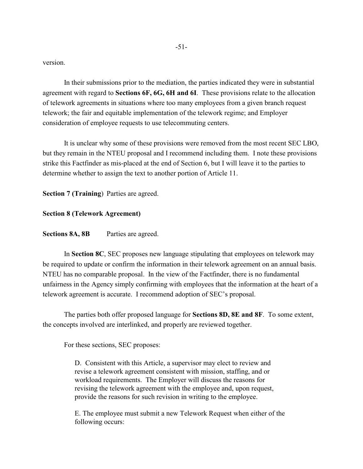version.

In their submissions prior to the mediation, the parties indicated they were in substantial agreement with regard to **Sections 6F, 6G, 6H and 6I**. These provisions relate to the allocation of telework agreements in situations where too many employees from a given branch request telework; the fair and equitable implementation of the telework regime; and Employer consideration of employee requests to use telecommuting centers.

It is unclear why some of these provisions were removed from the most recent SEC LBO, but they remain in the NTEU proposal and I recommend including them. I note these provisions strike this Factfinder as mis-placed at the end of Section 6, but I will leave it to the parties to determine whether to assign the text to another portion of Article 11.

**Section 7 (Training**) Parties are agreed.

**Section 8 (Telework Agreement)**

**Sections 8A, 8B** Parties are agreed.

In **Section 8C**, SEC proposes new language stipulating that employees on telework may be required to update or confirm the information in their telework agreement on an annual basis. NTEU has no comparable proposal. In the view of the Factfinder, there is no fundamental unfairness in the Agency simply confirming with employees that the information at the heart of a telework agreement is accurate. I recommend adoption of SEC's proposal.

The parties both offer proposed language for **Sections 8D, 8E and 8F**. To some extent, the concepts involved are interlinked, and properly are reviewed together.

For these sections, SEC proposes:

D. Consistent with this Article, a supervisor may elect to review and revise a telework agreement consistent with mission, staffing, and or workload requirements. The Employer will discuss the reasons for revising the telework agreement with the employee and, upon request, provide the reasons for such revision in writing to the employee.

E. The employee must submit a new Telework Request when either of the following occurs: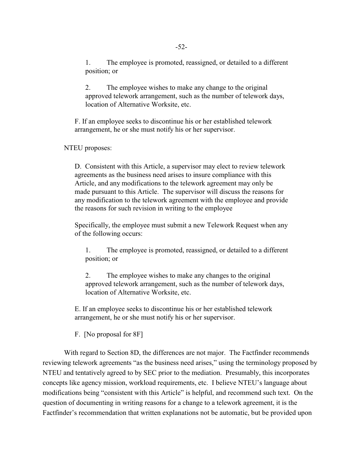1. The employee is promoted, reassigned, or detailed to a different position; or

2. The employee wishes to make any change to the original approved telework arrangement, such as the number of telework days, location of Alternative Worksite, etc.

F. If an employee seeks to discontinue his or her established telework arrangement, he or she must notify his or her supervisor.

NTEU proposes:

D. Consistent with this Article, a supervisor may elect to review telework agreements as the business need arises to insure compliance with this Article, and any modifications to the telework agreement may only be made pursuant to this Article. The supervisor will discuss the reasons for any modification to the telework agreement with the employee and provide the reasons for such revision in writing to the employee

Specifically, the employee must submit a new Telework Request when any of the following occurs:

1. The employee is promoted, reassigned, or detailed to a different position; or

2. The employee wishes to make any changes to the original approved telework arrangement, such as the number of telework days, location of Alternative Worksite, etc.

E. If an employee seeks to discontinue his or her established telework arrangement, he or she must notify his or her supervisor.

F. [No proposal for 8F]

With regard to Section 8D, the differences are not major. The Factfinder recommends reviewing telework agreements "as the business need arises," using the terminology proposed by NTEU and tentatively agreed to by SEC prior to the mediation. Presumably, this incorporates concepts like agency mission, workload requirements, etc. I believe NTEU's language about modifications being "consistent with this Article" is helpful, and recommend such text. On the question of documenting in writing reasons for a change to a telework agreement, it is the Factfinder's recommendation that written explanations not be automatic, but be provided upon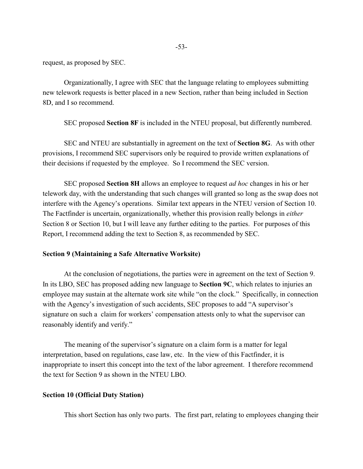request, as proposed by SEC.

Organizationally, I agree with SEC that the language relating to employees submitting new telework requests is better placed in a new Section, rather than being included in Section 8D, and I so recommend.

SEC proposed **Section 8F** is included in the NTEU proposal, but differently numbered.

SEC and NTEU are substantially in agreement on the text of **Section 8G**. As with other provisions, I recommend SEC supervisors only be required to provide written explanations of their decisions if requested by the employee. So I recommend the SEC version.

SEC proposed **Section 8H** allows an employee to request *ad hoc* changes in his or her telework day, with the understanding that such changes will granted so long as the swap does not interfere with the Agency's operations. Similar text appears in the NTEU version of Section 10. The Factfinder is uncertain, organizationally, whether this provision really belongs in *either* Section 8 or Section 10, but I will leave any further editing to the parties. For purposes of this Report, I recommend adding the text to Section 8, as recommended by SEC.

#### **Section 9 (Maintaining a Safe Alternative Worksite)**

At the conclusion of negotiations, the parties were in agreement on the text of Section 9. In its LBO, SEC has proposed adding new language to **Section 9C**, which relates to injuries an employee may sustain at the alternate work site while "on the clock." Specifically, in connection with the Agency's investigation of such accidents, SEC proposes to add "A supervisor's signature on such a claim for workers' compensation attests only to what the supervisor can reasonably identify and verify."

The meaning of the supervisor's signature on a claim form is a matter for legal interpretation, based on regulations, case law, etc. In the view of this Factfinder, it is inappropriate to insert this concept into the text of the labor agreement. I therefore recommend the text for Section 9 as shown in the NTEU LBO.

#### **Section 10 (Official Duty Station)**

This short Section has only two parts. The first part, relating to employees changing their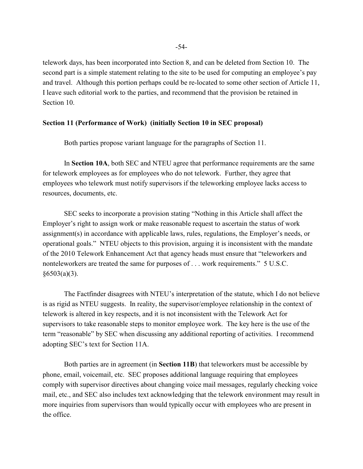telework days, has been incorporated into Section 8, and can be deleted from Section 10. The second part is a simple statement relating to the site to be used for computing an employee's pay and travel. Although this portion perhaps could be re-located to some other section of Article 11, I leave such editorial work to the parties, and recommend that the provision be retained in Section 10.

#### **Section 11 (Performance of Work) (initially Section 10 in SEC proposal)**

Both parties propose variant language for the paragraphs of Section 11.

In **Section 10A**, both SEC and NTEU agree that performance requirements are the same for telework employees as for employees who do not telework. Further, they agree that employees who telework must notify supervisors if the teleworking employee lacks access to resources, documents, etc.

SEC seeks to incorporate a provision stating "Nothing in this Article shall affect the Employer's right to assign work or make reasonable request to ascertain the status of work assignment(s) in accordance with applicable laws, rules, regulations, the Employer's needs, or operational goals." NTEU objects to this provision, arguing it is inconsistent with the mandate of the 2010 Telework Enhancement Act that agency heads must ensure that "teleworkers and nonteleworkers are treated the same for purposes of . . . work requirements." 5 U.S.C.  $§6503(a)(3)$ .

The Factfinder disagrees with NTEU's interpretation of the statute, which I do not believe is as rigid as NTEU suggests. In reality, the supervisor/employee relationship in the context of telework is altered in key respects, and it is not inconsistent with the Telework Act for supervisors to take reasonable steps to monitor employee work. The key here is the use of the term "reasonable" by SEC when discussing any additional reporting of activities. I recommend adopting SEC's text for Section 11A.

Both parties are in agreement (in **Section 11B**) that teleworkers must be accessible by phone, email, voicemail, etc. SEC proposes additional language requiring that employees comply with supervisor directives about changing voice mail messages, regularly checking voice mail, etc., and SEC also includes text acknowledging that the telework environment may result in more inquiries from supervisors than would typically occur with employees who are present in the office.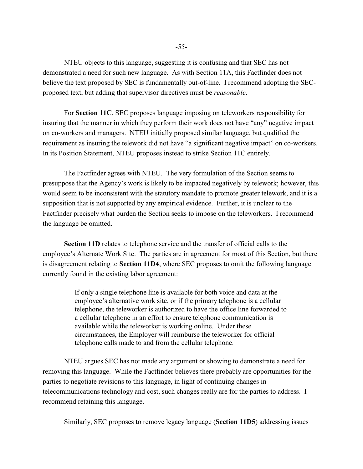NTEU objects to this language, suggesting it is confusing and that SEC has not demonstrated a need for such new language. As with Section 11A, this Factfinder does not believe the text proposed by SEC is fundamentally out-of-line. I recommend adopting the SECproposed text, but adding that supervisor directives must be *reasonable*.

For **Section 11C**, SEC proposes language imposing on teleworkers responsibility for insuring that the manner in which they perform their work does not have "any" negative impact on co-workers and managers. NTEU initially proposed similar language, but qualified the requirement as insuring the telework did not have "a significant negative impact" on co-workers. In its Position Statement, NTEU proposes instead to strike Section 11C entirely.

The Factfinder agrees with NTEU. The very formulation of the Section seems to presuppose that the Agency's work is likely to be impacted negatively by telework; however, this would seem to be inconsistent with the statutory mandate to promote greater telework, and it is a supposition that is not supported by any empirical evidence. Further, it is unclear to the Factfinder precisely what burden the Section seeks to impose on the teleworkers. I recommend the language be omitted.

**Section 11D** relates to telephone service and the transfer of official calls to the employee's Alternate Work Site. The parties are in agreement for most of this Section, but there is disagreement relating to **Section 11D4**, where SEC proposes to omit the following language currently found in the existing labor agreement:

> If only a single telephone line is available for both voice and data at the employee's alternative work site, or if the primary telephone is a cellular telephone, the teleworker is authorized to have the office line forwarded to a cellular telephone in an effort to ensure telephone communication is available while the teleworker is working online. Under these circumstances, the Employer will reimburse the teleworker for official telephone calls made to and from the cellular telephone.

NTEU argues SEC has not made any argument or showing to demonstrate a need for removing this language. While the Factfinder believes there probably are opportunities for the parties to negotiate revisions to this language, in light of continuing changes in telecommunications technology and cost, such changes really are for the parties to address. I recommend retaining this language.

Similarly, SEC proposes to remove legacy language (**Section 11D5**) addressing issues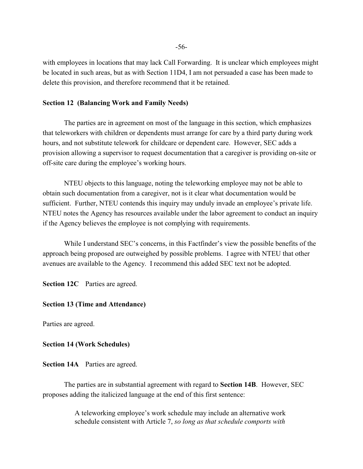with employees in locations that may lack Call Forwarding. It is unclear which employees might be located in such areas, but as with Section 11D4, I am not persuaded a case has been made to delete this provision, and therefore recommend that it be retained.

#### **Section 12 (Balancing Work and Family Needs)**

The parties are in agreement on most of the language in this section, which emphasizes that teleworkers with children or dependents must arrange for care by a third party during work hours, and not substitute telework for childcare or dependent care. However, SEC adds a provision allowing a supervisor to request documentation that a caregiver is providing on-site or off-site care during the employee's working hours.

NTEU objects to this language, noting the teleworking employee may not be able to obtain such documentation from a caregiver, not is it clear what documentation would be sufficient. Further, NTEU contends this inquiry may unduly invade an employee's private life. NTEU notes the Agency has resources available under the labor agreement to conduct an inquiry if the Agency believes the employee is not complying with requirements.

While I understand SEC's concerns, in this Factfinder's view the possible benefits of the approach being proposed are outweighed by possible problems. I agree with NTEU that other avenues are available to the Agency. I recommend this added SEC text not be adopted.

**Section 12C** Parties are agreed.

## **Section 13 (Time and Attendance)**

Parties are agreed.

**Section 14 (Work Schedules)**

**Section 14A** Parties are agreed.

The parties are in substantial agreement with regard to **Section 14B**. However, SEC proposes adding the italicized language at the end of this first sentence:

> A teleworking employee's work schedule may include an alternative work schedule consistent with Article 7, *so long as that schedule comports with*

-56-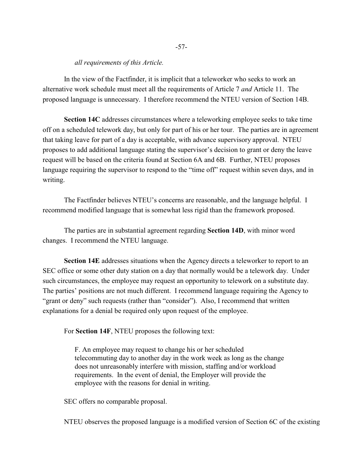#### *all requirements of this Article.*

In the view of the Factfinder, it is implicit that a teleworker who seeks to work an alternative work schedule must meet all the requirements of Article 7 *and* Article 11. The proposed language is unnecessary. I therefore recommend the NTEU version of Section 14B.

**Section 14C** addresses circumstances where a teleworking employee seeks to take time off on a scheduled telework day, but only for part of his or her tour. The parties are in agreement that taking leave for part of a day is acceptable, with advance supervisory approval. NTEU proposes to add additional language stating the supervisor's decision to grant or deny the leave request will be based on the criteria found at Section 6A and 6B. Further, NTEU proposes language requiring the supervisor to respond to the "time off" request within seven days, and in writing.

The Factfinder believes NTEU's concerns are reasonable, and the language helpful. I recommend modified language that is somewhat less rigid than the framework proposed.

The parties are in substantial agreement regarding **Section 14D**, with minor word changes. I recommend the NTEU language.

**Section 14E** addresses situations when the Agency directs a teleworker to report to an SEC office or some other duty station on a day that normally would be a telework day. Under such circumstances, the employee may request an opportunity to telework on a substitute day. The parties' positions are not much different. I recommend language requiring the Agency to "grant or deny" such requests (rather than "consider"). Also, I recommend that written explanations for a denial be required only upon request of the employee.

For **Section 14F**, NTEU proposes the following text:

F. An employee may request to change his or her scheduled telecommuting day to another day in the work week as long as the change does not unreasonably interfere with mission, staffing and/or workload requirements. In the event of denial, the Employer will provide the employee with the reasons for denial in writing.

SEC offers no comparable proposal.

NTEU observes the proposed language is a modified version of Section 6C of the existing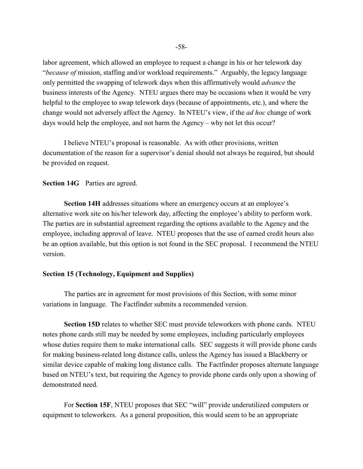labor agreement, which allowed an employee to request a change in his or her telework day "*because of* mission, staffing and/or workload requirements." Arguably, the legacy language only permitted the swapping of telework days when this affirmatively would *advance* the business interests of the Agency. NTEU argues there may be occasions when it would be very helpful to the employee to swap telework days (because of appointments, etc.), and where the change would not adversely affect the Agency. In NTEU's view, if the *ad hoc* change of work days would help the employee, and not harm the Agency – why not let this occur?

I believe NTEU's proposal is reasonable. As with other provisions, written documentation of the reason for a supervisor's denial should not always be required, but should be provided on request.

**Section 14G** Parties are agreed.

**Section 14H** addresses situations where an emergency occurs at an employee's alternative work site on his/her telework day, affecting the employee's ability to perform work. The parties are in substantial agreement regarding the options available to the Agency and the employee, including approval of leave. NTEU proposes that the use of earned credit hours also be an option available, but this option is not found in the SEC proposal. I recommend the NTEU version.

#### **Section 15 (Technology, Equipment and Supplies)**

The parties are in agreement for most provisions of this Section, with some minor variations in language. The Factfinder submits a recommended version.

**Section 15D** relates to whether SEC must provide teleworkers with phone cards. NTEU notes phone cards still may be needed by some employees, including particularly employees whose duties require them to make international calls. SEC suggests it will provide phone cards for making business-related long distance calls, unless the Agency has issued a Blackberry or similar device capable of making long distance calls. The Factfinder proposes alternate language based on NTEU's text, but requiring the Agency to provide phone cards only upon a showing of demonstrated need.

For **Section 15F**, NTEU proposes that SEC "will" provide underutilized computers or equipment to teleworkers. As a general proposition, this would seem to be an appropriate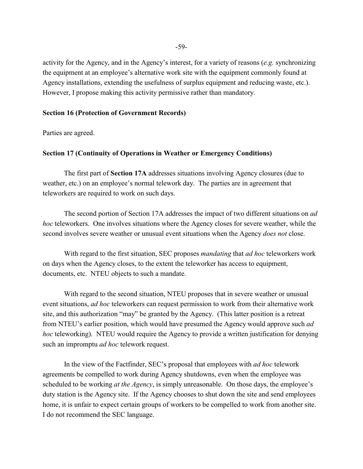activity for the Agency, and in the Agency's interest, for a variety of reasons (*e.g.* synchronizing the equipment at an employee's alternative work site with the equipment commonly found at Agency installations, extending the usefulness of surplus equipment and reducing waste, etc.). However, I propose making this activity permissive rather than mandatory.

# **Section 16 (Protection of Government Records)**

Parties are agreed.

### **Section 17 (Continuity of Operations in Weather or Emergency Conditions)**

The first part of **Section 17A** addresses situations involving Agency closures (due to weather, etc.) on an employee's normal telework day. The parties are in agreement that teleworkers are required to work on such days.

The second portion of Section 17A addresses the impact of two different situations on *ad hoc* teleworkers. One involves situations where the Agency closes for severe weather, while the second involves severe weather or unusual event situations when the Agency *does not* close.

With regard to the first situation, SEC proposes *mandating* that *ad hoc* teleworkers work on days when the Agency closes, to the extent the teleworker has access to equipment, documents, etc. NTEU objects to such a mandate.

With regard to the second situation, NTEU proposes that in severe weather or unusual event situations, *ad hoc* teleworkers can request permission to work from their alternative work site, and this authorization "may" be granted by the Agency. (This latter position is a retreat from NTEU's earlier position, which would have presumed the Agency would approve such *ad hoc* teleworking). NTEU would require the Agency to provide a written justification for denying such an impromptu *ad hoc* telework request.

In the view of the Factfinder, SEC's proposal that employees with *ad hoc* telework agreements be compelled to work during Agency shutdowns, even when the employee was scheduled to be working *at the Agency*, is simply unreasonable. On those days, the employee's duty station is the Agency site. If the Agency chooses to shut down the site and send employees home, it is unfair to expect certain groups of workers to be compelled to work from another site. I do not recommend the SEC language.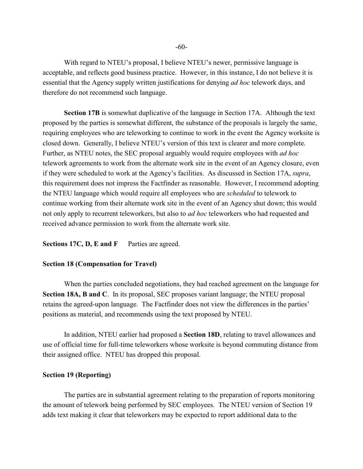With regard to NTEU's proposal, I believe NTEU's newer, permissive language is acceptable, and reflects good business practice. However, in this instance, I do not believe it is essential that the Agency supply written justifications for denying *ad hoc* telework days, and therefore do not recommend such language.

**Section 17B** is somewhat duplicative of the language in Section 17A. Although the text proposed by the parties is somewhat different, the substance of the proposals is largely the same, requiring employees who are teleworking to continue to work in the event the Agency worksite is closed down. Generally, I believe NTEU's version of this text is clearer and more complete. Further, as NTEU notes, the SEC proposal arguably would require employees with *ad hoc* telework agreements to work from the alternate work site in the event of an Agency closure, even if they were scheduled to work at the Agency's facilities. As discussed in Section 17A, *supra*, this requirement does not impress the Factfinder as reasonable. However, I recommend adopting the NTEU language which would require all employees who are *scheduled* to telework to continue working from their alternate work site in the event of an Agency shut down; this would not only apply to recurrent teleworkers, but also to *ad hoc* teleworkers who had requested and received advance permission to work from the alternate work site.

Sections 17C, D, E and F Parties are agreed.

#### **Section 18 (Compensation for Travel)**

When the parties concluded negotiations, they had reached agreement on the language for **Section 18A, B and C**. In its proposal, SEC proposes variant language; the NTEU proposal retains the agreed-upon language. The Factfinder does not view the differences in the parties' positions as material, and recommends using the text proposed by NTEU.

In addition, NTEU earlier had proposed a **Section 18D**, relating to travel allowances and use of official time for full-time teleworkers whose worksite is beyond commuting distance from their assigned office. NTEU has dropped this proposal.

#### **Section 19 (Reporting)**

The parties are in substantial agreement relating to the preparation of reports monitoring the amount of telework being performed by SEC employees. The NTEU version of Section 19 adds text making it clear that teleworkers may be expected to report additional data to the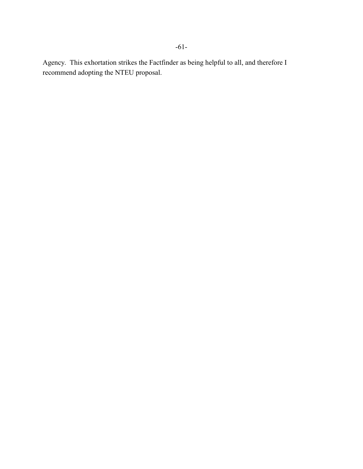Agency. This exhortation strikes the Factfinder as being helpful to all, and therefore I recommend adopting the NTEU proposal.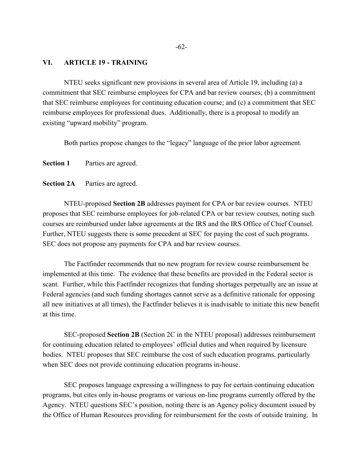# **VI. ARTICLE 19 - TRAINING**

NTEU seeks significant new provisions in several area of Article 19, including (a) a commitment that SEC reimburse employees for CPA and bar review courses; (b) a commitment that SEC reimburse employees for continuing education course; and (c) a commitment that SEC reimburse employees for professional dues. Additionally, there is a proposal to modify an existing "upward mobility" program.

Both parties propose changes to the "legacy" language of the prior labor agreement.

**Section 1** Parties are agreed.

**Section 2A** Parties are agreed.

NTEU-proposed **Section 2B** addresses payment for CPA or bar review courses. NTEU proposes that SEC reimburse employees for job-related CPA or bar review courses, noting such courses are reimbursed under labor agreements at the IRS and the IRS Office of Chief Counsel. Further, NTEU suggests there is some precedent at SEC for paying the cost of such programs. SEC does not propose any payments for CPA and bar review courses.

The Factfinder recommends that no new program for review course reimbursement be implemented at this time. The evidence that these benefits are provided in the Federal sector is scant. Further, while this Factfinder recognizes that funding shortages perpetually are an issue at Federal agencies (and such funding shortages cannot serve as a definitive rationale for opposing all new initiatives at all times), the Factfinder believes it is inadvisable to initiate this new benefit at this time.

SEC-proposed **Section 2B** (Section 2C in the NTEU proposal) addresses reimbursement for continuing education related to employees' official duties and when required by licensure bodies. NTEU proposes that SEC reimburse the cost of such education programs, particularly when SEC does not provide continuing education programs in-house.

SEC proposes language expressing a willingness to pay for certain continuing education programs, but cites only in-house programs or various on-line programs currently offered by the Agency. NTEU questions SEC's position, noting there is an Agency policy document issued by the Office of Human Resources providing for reimbursement for the costs of outside training. In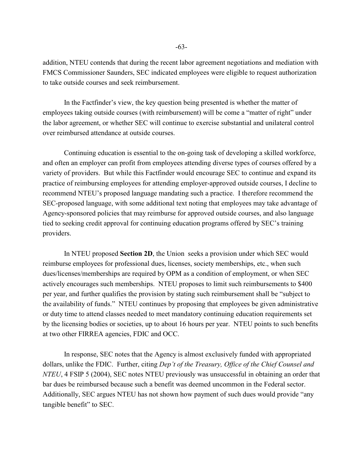addition, NTEU contends that during the recent labor agreement negotiations and mediation with FMCS Commissioner Saunders, SEC indicated employees were eligible to request authorization to take outside courses and seek reimbursement.

In the Factfinder's view, the key question being presented is whether the matter of employees taking outside courses (with reimbursement) will be come a "matter of right" under the labor agreement, or whether SEC will continue to exercise substantial and unilateral control over reimbursed attendance at outside courses.

Continuing education is essential to the on-going task of developing a skilled workforce, and often an employer can profit from employees attending diverse types of courses offered by a variety of providers. But while this Factfinder would encourage SEC to continue and expand its practice of reimbursing employees for attending employer-approved outside courses, I decline to recommend NTEU's proposed language mandating such a practice. I therefore recommend the SEC-proposed language, with some additional text noting that employees may take advantage of Agency-sponsored policies that may reimburse for approved outside courses, and also language tied to seeking credit approval for continuing education programs offered by SEC's training providers.

In NTEU proposed **Section 2D**, the Union seeks a provision under which SEC would reimburse employees for professional dues, licenses, society memberships, etc., when such dues/licenses/memberships are required by OPM as a condition of employment, or when SEC actively encourages such memberships. NTEU proposes to limit such reimbursements to \$400 per year, and further qualifies the provision by stating such reimbursement shall be "subject to the availability of funds." NTEU continues by proposing that employees be given administrative or duty time to attend classes needed to meet mandatory continuing education requirements set by the licensing bodies or societies, up to about 16 hours per year. NTEU points to such benefits at two other FIRREA agencies, FDIC and OCC.

In response, SEC notes that the Agency is almost exclusively funded with appropriated dollars, unlike the FDIC. Further, citing *Dep't of the Treasury, Office of the Chief Counsel and NTEU*, 4 FSIP 5 (2004), SEC notes NTEU previously was unsuccessful in obtaining an order that bar dues be reimbursed because such a benefit was deemed uncommon in the Federal sector. Additionally, SEC argues NTEU has not shown how payment of such dues would provide "any tangible benefit" to SEC.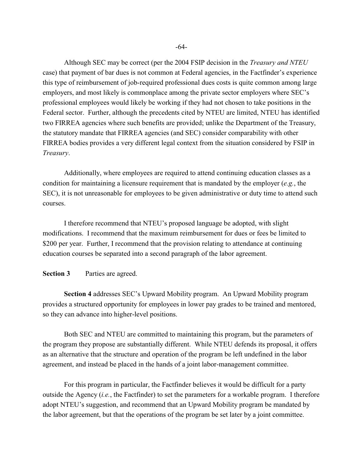Although SEC may be correct (per the 2004 FSIP decision in the *Treasury and NTEU* case) that payment of bar dues is not common at Federal agencies, in the Factfinder's experience this type of reimbursement of job-required professional dues costs is quite common among large employers, and most likely is commonplace among the private sector employers where SEC's professional employees would likely be working if they had not chosen to take positions in the Federal sector. Further, although the precedents cited by NTEU are limited, NTEU has identified two FIRREA agencies where such benefits are provided; unlike the Department of the Treasury, the statutory mandate that FIRREA agencies (and SEC) consider comparability with other FIRREA bodies provides a very different legal context from the situation considered by FSIP in *Treasury*.

Additionally, where employees are required to attend continuing education classes as a condition for maintaining a licensure requirement that is mandated by the employer (*e.g.*, the SEC), it is not unreasonable for employees to be given administrative or duty time to attend such courses.

I therefore recommend that NTEU's proposed language be adopted, with slight modifications. I recommend that the maximum reimbursement for dues or fees be limited to \$200 per year. Further, I recommend that the provision relating to attendance at continuing education courses be separated into a second paragraph of the labor agreement.

### **Section 3** Parties are agreed.

**Section 4** addresses SEC's Upward Mobility program. An Upward Mobility program provides a structured opportunity for employees in lower pay grades to be trained and mentored, so they can advance into higher-level positions.

Both SEC and NTEU are committed to maintaining this program, but the parameters of the program they propose are substantially different. While NTEU defends its proposal, it offers as an alternative that the structure and operation of the program be left undefined in the labor agreement, and instead be placed in the hands of a joint labor-management committee.

For this program in particular, the Factfinder believes it would be difficult for a party outside the Agency (*i.e.*, the Factfinder) to set the parameters for a workable program. I therefore adopt NTEU's suggestion, and recommend that an Upward Mobility program be mandated by the labor agreement, but that the operations of the program be set later by a joint committee.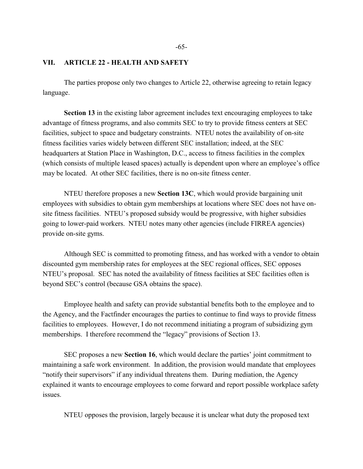### **VII. ARTICLE 22 - HEALTH AND SAFETY**

The parties propose only two changes to Article 22, otherwise agreeing to retain legacy language.

**Section 13** in the existing labor agreement includes text encouraging employees to take advantage of fitness programs, and also commits SEC to try to provide fitness centers at SEC facilities, subject to space and budgetary constraints. NTEU notes the availability of on-site fitness facilities varies widely between different SEC installation; indeed, at the SEC headquarters at Station Place in Washington, D.C., access to fitness facilities in the complex (which consists of multiple leased spaces) actually is dependent upon where an employee's office may be located. At other SEC facilities, there is no on-site fitness center.

NTEU therefore proposes a new **Section 13C**, which would provide bargaining unit employees with subsidies to obtain gym memberships at locations where SEC does not have onsite fitness facilities. NTEU's proposed subsidy would be progressive, with higher subsidies going to lower-paid workers. NTEU notes many other agencies (include FIRREA agencies) provide on-site gyms.

Although SEC is committed to promoting fitness, and has worked with a vendor to obtain discounted gym membership rates for employees at the SEC regional offices, SEC opposes NTEU's proposal. SEC has noted the availability of fitness facilities at SEC facilities often is beyond SEC's control (because GSA obtains the space).

Employee health and safety can provide substantial benefits both to the employee and to the Agency, and the Factfinder encourages the parties to continue to find ways to provide fitness facilities to employees. However, I do not recommend initiating a program of subsidizing gym memberships. I therefore recommend the "legacy" provisions of Section 13.

SEC proposes a new **Section 16**, which would declare the parties' joint commitment to maintaining a safe work environment. In addition, the provision would mandate that employees "notify their supervisors" if any individual threatens them. During mediation, the Agency explained it wants to encourage employees to come forward and report possible workplace safety issues.

NTEU opposes the provision, largely because it is unclear what duty the proposed text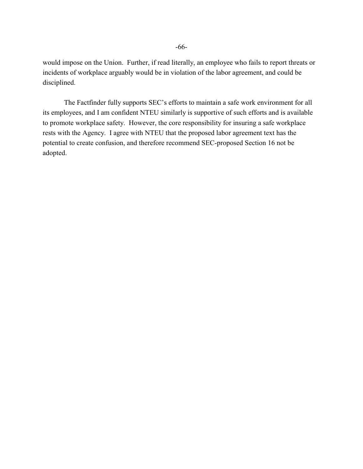would impose on the Union. Further, if read literally, an employee who fails to report threats or incidents of workplace arguably would be in violation of the labor agreement, and could be disciplined.

The Factfinder fully supports SEC's efforts to maintain a safe work environment for all its employees, and I am confident NTEU similarly is supportive of such efforts and is available to promote workplace safety. However, the core responsibility for insuring a safe workplace rests with the Agency. I agree with NTEU that the proposed labor agreement text has the potential to create confusion, and therefore recommend SEC-proposed Section 16 not be adopted.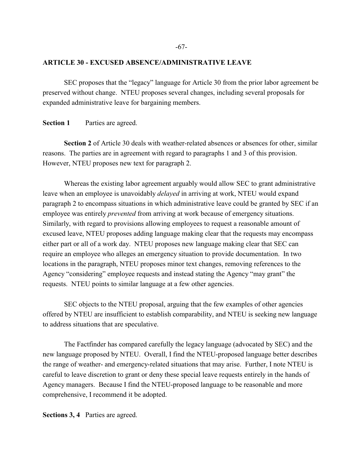#### **ARTICLE 30 - EXCUSED ABSENCE/ADMINISTRATIVE LEAVE**

SEC proposes that the "legacy" language for Article 30 from the prior labor agreement be preserved without change. NTEU proposes several changes, including several proposals for expanded administrative leave for bargaining members.

**Section 1** Parties are agreed.

**Section 2** of Article 30 deals with weather-related absences or absences for other, similar reasons. The parties are in agreement with regard to paragraphs 1 and 3 of this provision. However, NTEU proposes new text for paragraph 2.

Whereas the existing labor agreement arguably would allow SEC to grant administrative leave when an employee is unavoidably *delayed* in arriving at work, NTEU would expand paragraph 2 to encompass situations in which administrative leave could be granted by SEC if an employee was entirely *prevented* from arriving at work because of emergency situations. Similarly, with regard to provisions allowing employees to request a reasonable amount of excused leave, NTEU proposes adding language making clear that the requests may encompass either part or all of a work day. NTEU proposes new language making clear that SEC can require an employee who alleges an emergency situation to provide documentation. In two locations in the paragraph, NTEU proposes minor text changes, removing references to the Agency "considering" employee requests and instead stating the Agency "may grant" the requests. NTEU points to similar language at a few other agencies.

SEC objects to the NTEU proposal, arguing that the few examples of other agencies offered by NTEU are insufficient to establish comparability, and NTEU is seeking new language to address situations that are speculative.

The Factfinder has compared carefully the legacy language (advocated by SEC) and the new language proposed by NTEU. Overall, I find the NTEU-proposed language better describes the range of weather- and emergency-related situations that may arise. Further, I note NTEU is careful to leave discretion to grant or deny these special leave requests entirely in the hands of Agency managers. Because I find the NTEU-proposed language to be reasonable and more comprehensive, I recommend it be adopted.

**Sections 3, 4** Parties are agreed.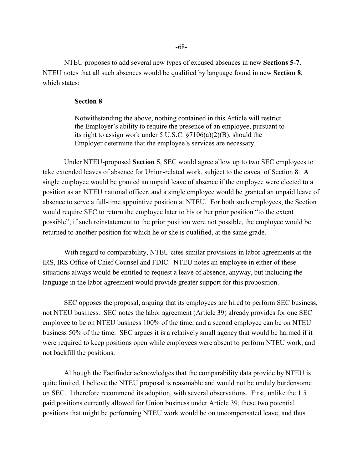NTEU proposes to add several new types of excused absences in new **Sections 5-7.**  NTEU notes that all such absences would be qualified by language found in new **Section 8**, which states:

### **Section 8**

Notwithstanding the above, nothing contained in this Article will restrict the Employer's ability to require the presence of an employee, pursuant to its right to assign work under 5 U.S.C. §7106(a)(2)(B), should the Employer determine that the employee's services are necessary.

Under NTEU-proposed **Section 5**, SEC would agree allow up to two SEC employees to take extended leaves of absence for Union-related work, subject to the caveat of Section 8. A single employee would be granted an unpaid leave of absence if the employee were elected to a position as an NTEU national officer, and a single employee would be granted an unpaid leave of absence to serve a full-time appointive position at NTEU. For both such employees, the Section would require SEC to return the employee later to his or her prior position "to the extent possible"; if such reinstatement to the prior position were not possible, the employee would be returned to another position for which he or she is qualified, at the same grade.

With regard to comparability, NTEU cites similar provisions in labor agreements at the IRS, IRS Office of Chief Counsel and FDIC. NTEU notes an employee in either of these situations always would be entitled to request a leave of absence, anyway, but including the language in the labor agreement would provide greater support for this proposition.

SEC opposes the proposal, arguing that its employees are hired to perform SEC business, not NTEU business. SEC notes the labor agreement (Article 39) already provides for one SEC employee to be on NTEU business 100% of the time, and a second employee can be on NTEU business 50% of the time. SEC argues it is a relatively small agency that would be harmed if it were required to keep positions open while employees were absent to perform NTEU work, and not backfill the positions.

Although the Factfinder acknowledges that the comparability data provide by NTEU is quite limited, I believe the NTEU proposal is reasonable and would not be unduly burdensome on SEC. I therefore recommend its adoption, with several observations. First, unlike the 1.5 paid positions currently allowed for Union business under Article 39, these two potential positions that might be performing NTEU work would be on uncompensated leave, and thus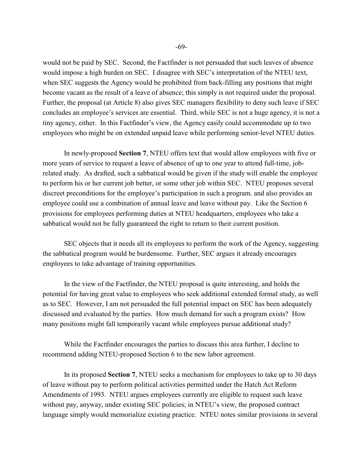would not be paid by SEC. Second, the Factfinder is not persuaded that such leaves of absence would impose a high burden on SEC. I disagree with SEC's interpretation of the NTEU text, when SEC suggests the Agency would be prohibited from back-filling any positions that might become vacant as the result of a leave of absence; this simply is not required under the proposal. Further, the proposal (at Article 8) also gives SEC managers flexibility to deny such leave if SEC concludes an employee's services are essential. Third, while SEC is not a huge agency, it is not a tiny agency, either. In this Factfinder's view, the Agency easily could accommodate up to two employees who might be on extended unpaid leave while performing senior-level NTEU duties.

In newly-proposed **Section 7**, NTEU offers text that would allow employees with five or more years of service to request a leave of absence of up to one year to attend full-time, jobrelated study. As drafted, such a sabbatical would be given if the study will enable the employee to perform his or her current job better, or some other job within SEC. NTEU proposes several discreet preconditions for the employee's participation in such a program. and also provides an employee could use a combination of annual leave and leave without pay. Like the Section 6 provisions for employees performing duties at NTEU headquarters, employees who take a sabbatical would not be fully guaranteed the right to return to their current position.

SEC objects that it needs all its employees to perform the work of the Agency, suggesting the sabbatical program would be burdensome. Further, SEC argues it already encourages employees to take advantage of training opportunities.

In the view of the Factfinder, the NTEU proposal is quite interesting, and holds the potential for having great value to employees who seek additional extended formal study, as well as to SEC. However, I am not persuaded the full potential impact on SEC has been adequately discussed and evaluated by the parties. How much demand for such a program exists? How many positions might fall temporarily vacant while employees pursue additional study?

While the Factfinder encourages the parties to discuss this area further, I decline to recommend adding NTEU-proposed Section 6 to the new labor agreement.

In its proposed **Section 7**, NTEU seeks a mechanism for employees to take up to 30 days of leave without pay to perform political activities permitted under the Hatch Act Reform Amendments of 1993. NTEU argues employees currently are eligible to request such leave without pay, anyway, under existing SEC policies; in NTEU's view, the proposed contract language simply would memorialize existing practice. NTEU notes similar provisions in several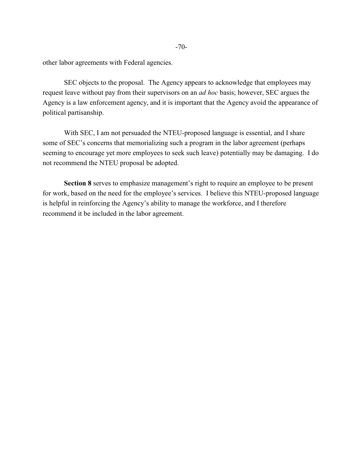other labor agreements with Federal agencies.

SEC objects to the proposal. The Agency appears to acknowledge that employees may request leave without pay from their supervisors on an *ad hoc* basis; however, SEC argues the Agency is a law enforcement agency, and it is important that the Agency avoid the appearance of political partisanship.

With SEC, I am not persuaded the NTEU-proposed language is essential, and I share some of SEC's concerns that memorializing such a program in the labor agreement (perhaps seeming to encourage yet more employees to seek such leave) potentially may be damaging. I do not recommend the NTEU proposal be adopted.

**Section 8** serves to emphasize management's right to require an employee to be present for work, based on the need for the employee's services. I believe this NTEU-proposed language is helpful in reinforcing the Agency's ability to manage the workforce, and I therefore recommend it be included in the labor agreement.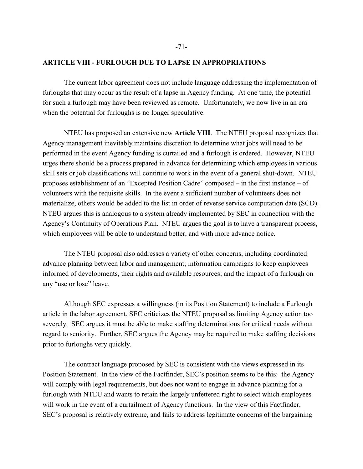### **ARTICLE VIII - FURLOUGH DUE TO LAPSE IN APPROPRIATIONS**

The current labor agreement does not include language addressing the implementation of furloughs that may occur as the result of a lapse in Agency funding. At one time, the potential for such a furlough may have been reviewed as remote. Unfortunately, we now live in an era when the potential for furloughs is no longer speculative.

NTEU has proposed an extensive new **Article VIII**. The NTEU proposal recognizes that Agency management inevitably maintains discretion to determine what jobs will need to be performed in the event Agency funding is curtailed and a furlough is ordered. However, NTEU urges there should be a process prepared in advance for determining which employees in various skill sets or job classifications will continue to work in the event of a general shut-down. NTEU proposes establishment of an "Excepted Position Cadre" composed – in the first instance – of volunteers with the requisite skills. In the event a sufficient number of volunteers does not materialize, others would be added to the list in order of reverse service computation date (SCD). NTEU argues this is analogous to a system already implemented by SEC in connection with the Agency's Continuity of Operations Plan. NTEU argues the goal is to have a transparent process, which employees will be able to understand better, and with more advance notice.

The NTEU proposal also addresses a variety of other concerns, including coordinated advance planning between labor and management; information campaigns to keep employees informed of developments, their rights and available resources; and the impact of a furlough on any "use or lose" leave.

Although SEC expresses a willingness (in its Position Statement) to include a Furlough article in the labor agreement, SEC criticizes the NTEU proposal as limiting Agency action too severely. SEC argues it must be able to make staffing determinations for critical needs without regard to seniority. Further, SEC argues the Agency may be required to make staffing decisions prior to furloughs very quickly.

The contract language proposed by SEC is consistent with the views expressed in its Position Statement. In the view of the Factfinder, SEC's position seems to be this: the Agency will comply with legal requirements, but does not want to engage in advance planning for a furlough with NTEU and wants to retain the largely unfettered right to select which employees will work in the event of a curtailment of Agency functions. In the view of this Factfinder, SEC's proposal is relatively extreme, and fails to address legitimate concerns of the bargaining